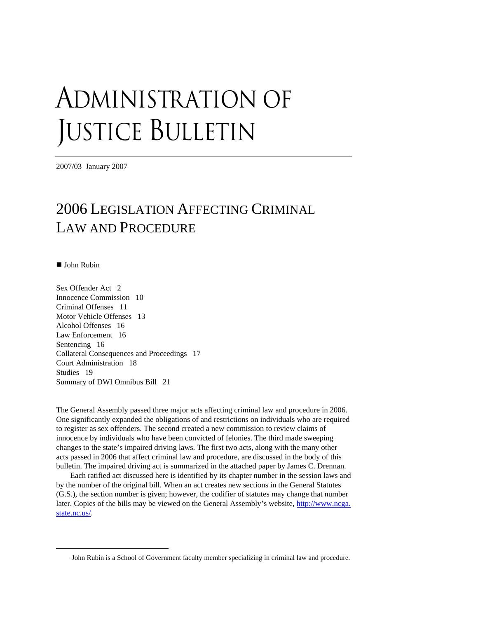# ADMINISTRATION OF JUSTICE BULLETIN

2007/03 January 2007

# 2006 LEGISLATION AFFECTING CRIMINAL LAW AND PROCEDURE

■ John Rubin

 $\overline{a}$ 

Sex Offender Act 2 Innocence Commission 10 Criminal Offenses 11 Motor Vehicle Offenses 13 Alcohol Offenses 16 Law Enforcement 16 Sentencing 16 Collateral Consequences and Proceedings 17 Court Administration 18 Studies 19 Summary of DWI Omnibus Bill 21

The General Assembly passed three major acts affecting criminal law and procedure in 2006. One significantly expanded the obligations of and restrictions on individuals who are required to register as sex offenders. The second created a new commission to review claims of innocence by individuals who have been convicted of felonies. The third made sweeping changes to the state's impaired driving laws. The first two acts, along with the many other acts passed in 2006 that affect criminal law and procedure, are discussed in the body of this bulletin. The impaired driving act is summarized in the attached paper by James C. Drennan.

Each ratified act discussed here is identified by its chapter number in the session laws and by the number of the original bill. When an act creates new sections in the General Statutes (G.S.), the section number is given; however, the codifier of statutes may change that number later. Copies of the bills may be viewed on the General Assembly's website, [http://www.ncga.](http://www.ncga.state.nc.us/) [state.nc.us/](http://www.ncga.state.nc.us/).

John Rubin is a School of Government faculty member specializing in criminal law and procedure.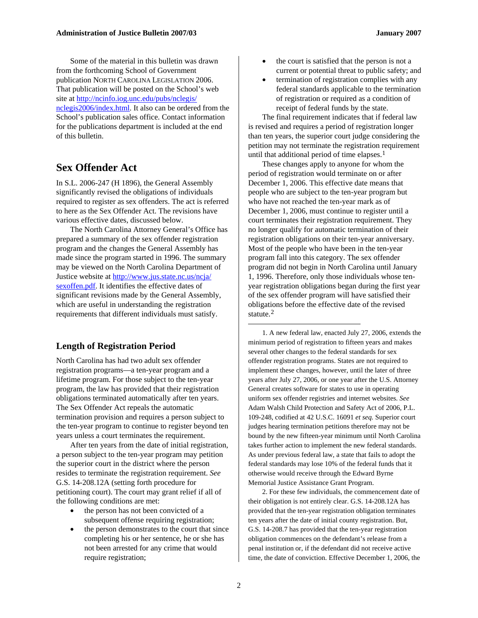Some of the material in this bulletin was drawn from the forthcoming School of Government publication NORTH CAROLINA LEGISLATION 2006. That publication will be posted on the School's web site at [http://ncinfo.iog.unc.edu/pubs/nclegis/](http://ncinfo.iog.unc.edu/pubs/nclegis/%0Bnclegis2006/index.html) [nclegis2006/index.html](http://ncinfo.iog.unc.edu/pubs/nclegis/%0Bnclegis2006/index.html). It also can be ordered from the School's publication sales office. Contact information for the publications department is included at the end of this bulletin.

#### **Sex Offender Act**

In S.L. 2006-247 (H 1896), the General Assembly significantly revised the obligations of individuals required to register as sex offenders. The act is referred to here as the Sex Offender Act. The revisions have various effective dates, discussed below.

The North Carolina Attorney General's Office has prepared a summary of the sex offender registration program and the changes the General Assembly has made since the program started in 1996. The summary may be viewed on the North Carolina Department of Justice website at [http://www.jus.state.nc.us/ncja/](http://www.jus.state.nc.us/ncja/%0Bsexoffen.pdf) [sexoffen.pdf](http://www.jus.state.nc.us/ncja/%0Bsexoffen.pdf). It identifies the effective dates of significant revisions made by the General Assembly, which are useful in understanding the registration requirements that different individuals must satisfy.

#### <span id="page-1-0"></span>**Length of Registration Period**

North Carolina has had two adult sex offender registration programs—a ten-year program and a lifetime program. For those subject to the ten-year program, the law has provided that their registration obligations terminated automatically after ten years. The Sex Offender Act repeals the automatic termination provision and requires a person subject to the ten-year program to continue to register beyond ten years unless a court terminates the requirement.

<span id="page-1-1"></span>After ten years from the date of initial registration, a person subject to the ten-year program may petition the superior court in the district where the person resides to terminate the registration requirement. *See*  G.S. 14-208.12A (setting forth procedure for petitioning court). The court may grant relief if all of the following conditions are met:

- the person has not been convicted of a subsequent offense requiring registration;
- the person demonstrates to the court that since completing his or her sentence, he or she has not been arrested for any crime that would require registration;
- the court is satisfied that the person is not a current or potential threat to public safety; and
- termination of registration complies with any federal standards applicable to the termination of registration or required as a condition of receipt of federal funds by the state.

The final requirement indicates that if federal law is revised and requires a period of registration longer than ten years, the superior court judge considering the petition may not terminate the registration requirement until that additional period of time elapses.<sup>[1](#page-1-0)</sup>

These changes apply to anyone for whom the period of registration would terminate on or after December 1, 2006. This effective date means that people who are subject to the ten-year program but who have not reached the ten-year mark as of December 1, 2006, must continue to register until a court terminates their registration requirement. They no longer qualify for automatic termination of their registration obligations on their ten-year anniversary. Most of the people who have been in the ten-year program fall into this category. The sex offender program did not begin in North Carolina until January 1, 1996. Therefore, only those individuals whose tenyear registration obligations began during the first year of the sex offender program will have satisfied their obligations before the effective date of the revised statute.<sup>[2](#page-1-1)</sup>

1. A new federal law, enacted July 27, 2006, extends the minimum period of registration to fifteen years and makes several other changes to the federal standards for sex offender registration programs. States are not required to implement these changes, however, until the later of three years after July 27, 2006, or one year after the U.S. Attorney General creates software for states to use in operating uniform sex offender registries and internet websites. *See*  Adam Walsh Child Protection and Safety Act of 2006, P.L. 109-248, codified at 42 U.S.C. 16091 *et seq.* Superior court judges hearing termination petitions therefore may not be bound by the new fifteen-year minimum until North Carolina takes further action to implement the new federal standards. As under previous federal law, a state that fails to adopt the federal standards may lose 10% of the federal funds that it otherwise would receive through the Edward Byrne Memorial Justice Assistance Grant Program.

2. For these few individuals, the commencement date of their obligation is not entirely clear. G.S. 14-208.12A has provided that the ten-year registration obligation terminates ten years after the date of initial county registration. But, G.S. 14-208.7 has provided that the ten-year registration obligation commences on the defendant's release from a penal institution or, if the defendant did not receive active time, the date of conviction. Effective December 1, 2006, the

 $\overline{a}$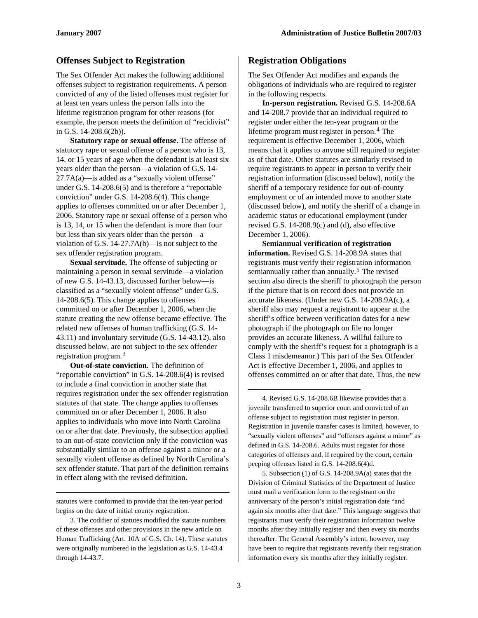#### **Offenses Subject to Registration**

The Sex Offender Act makes the following additional offenses subject to registration requirements. A person convicted of any of the listed offenses must register for at least ten years unless the person falls into the lifetime registration program for other reasons (for example, the person meets the definition of "recidivist" in G.S. 14-208.6(2b)).

**Statutory rape or sexual offense.** The offense of statutory rape or sexual offense of a person who is 13, 14, or 15 years of age when the defendant is at least six years older than the person—a violation of G.S. 14-  $27.7A(a)$ —is added as a "sexually violent offense" under G.S. 14-208.6(5) and is therefore a "reportable conviction" under G.S. 14-208.6(4). This change applies to offenses committed on or after December 1, 2006. Statutory rape or sexual offense of a person who is 13, 14, or 15 when the defendant is more than four but less than six years older than the person—a violation of G.S. 14-27.7A(b)—is not subject to the sex offender registration program.

**Sexual servitude.** The offense of subjecting or maintaining a person in sexual servitude—a violation of new G.S. 14-43.13, discussed further below—is classified as a "sexually violent offense" under G.S. 14-208.6(5). This change applies to offenses committed on or after December 1, 2006, when the statute creating the new offense became effective. The related new offenses of human trafficking (G.S. 14- 43.11) and involuntary servitude (G.S. 14-43.12), also discussed below, are not subject to the sex offender registration program.[3](#page-2-0)

<span id="page-2-1"></span>**Out-of-state conviction.** The definition of "reportable conviction" in G.S. 14-208.6(4) is revised to include a final conviction in another state that requires registration under the sex offender registration statutes of that state. The change applies to offenses committed on or after December 1, 2006. It also applies to individuals who move into North Carolina on or after that date. Previously, the subsection applied to an out-of-state conviction only if the conviction was substantially similar to an offense against a minor or a sexually violent offense as defined by North Carolina's sex offender statute. That part of the definition remains in effect along with the revised definition.

statutes were conformed to provide that the ten-year period begins on the date of initial county registration.

<span id="page-2-2"></span> $\overline{a}$ 

#### **Registration Obligations**

The Sex Offender Act modifies and expands the obligations of individuals who are required to register in the following respects.

**In-person registration.** Revised G.S. 14-208.6A and 14-208.7 provide that an individual required to register under either the ten-year program or the lifetime program must register in person.<sup>[4](#page-2-1)</sup> The requirement is effective December 1, 2006, which means that it applies to anyone still required to register as of that date. Other statutes are similarly revised to require registrants to appear in person to verify their registration information (discussed below), notify the sheriff of a temporary residence for out-of-county employment or of an intended move to another state (discussed below), and notify the sheriff of a change in academic status or educational employment (under revised G.S. 14-208.9(c) and (d), also effective December 1, 2006).

**Semiannual verification of registration information.** Revised G.S. 14-208.9A states that registrants must verify their registration information semiannually rather than annually.<sup>[5](#page-2-2)</sup> The revised section also directs the sheriff to photograph the person if the picture that is on record does not provide an accurate likeness. (Under new G.S. 14-208.9A(c), a sheriff also may request a registrant to appear at the sheriff's office between verification dates for a new photograph if the photograph on file no longer provides an accurate likeness. A willful failure to comply with the sheriff's request for a photograph is a Class 1 misdemeanor.) This part of the Sex Offender Act is effective December 1, 2006, and applies to offenses committed on or after that date. Thus, the new

4. Revised G.S. 14-208.6B likewise provides that a juvenile transferred to superior court and convicted of an offense subject to registration must register in person. Registration in juvenile transfer cases is limited, however, to "sexually violent offenses" and "offenses against a minor" as defined in G.S. 14-208.6. Adults must register for those categories of offenses and, if required by the court, certain peeping offenses listed in G.S. 14-208.6(4)d.

5. Subsection  $(1)$  of G.S. 14-208.9A $(a)$  states that the Division of Criminal Statistics of the Department of Justice must mail a verification form to the registrant on the anniversary of the person's initial registration date "and again six months after that date." This language suggests that registrants must verify their registration information twelve months after they initially register and then every six months thereafter. The General Assembly's intent, however, may have been to require that registrants reverify their registration information every six months after they initially register.

1

<span id="page-2-0"></span><sup>3.</sup> The codifier of statutes modified the statute numbers of these offenses and other provisions in the new article on Human Trafficking (Art. 10A of G.S. Ch. 14). These statutes were originally numbered in the legislation as G.S. 14-43.4 through 14-43.7.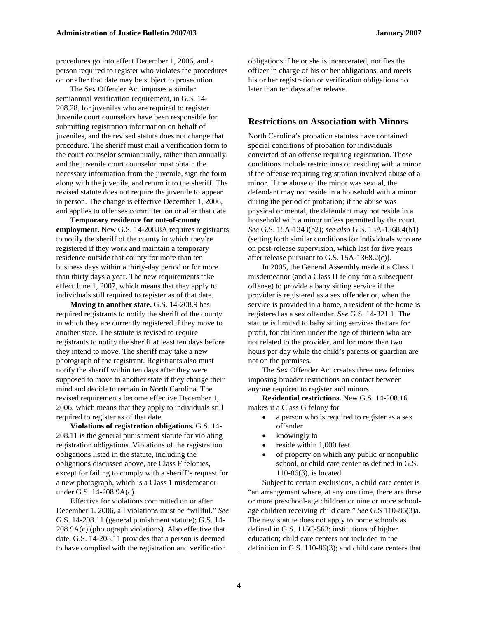The Sex Offender Act imposes a similar semiannual verification requirement, in G.S. 14- 208.28, for juveniles who are required to register. Juvenile court counselors have been responsible for submitting registration information on behalf of juveniles, and the revised statute does not change that procedure. The sheriff must mail a verification form to the court counselor semiannually, rather than annually, and the juvenile court counselor must obtain the necessary information from the juvenile, sign the form along with the juvenile, and return it to the sheriff. The revised statute does not require the juvenile to appear in person. The change is effective December 1, 2006, and applies to offenses committed on or after that date.

**Temporary residence for out-of-county employment.** New G.S. 14-208.8A requires registrants to notify the sheriff of the county in which they're registered if they work and maintain a temporary residence outside that county for more than ten business days within a thirty-day period or for more than thirty days a year. The new requirements take effect June 1, 2007, which means that they apply to individuals still required to register as of that date.

**Moving to another state.** G.S. 14-208.9 has required registrants to notify the sheriff of the county in which they are currently registered if they move to another state. The statute is revised to require registrants to notify the sheriff at least ten days before they intend to move. The sheriff may take a new photograph of the registrant. Registrants also must notify the sheriff within ten days after they were supposed to move to another state if they change their mind and decide to remain in North Carolina. The revised requirements become effective December 1, 2006, which means that they apply to individuals still required to register as of that date.

**Violations of registration obligations.** G.S. 14- 208.11 is the general punishment statute for violating registration obligations. Violations of the registration obligations listed in the statute, including the obligations discussed above, are Class F felonies, except for failing to comply with a sheriff's request for a new photograph, which is a Class 1 misdemeanor under G.S. 14-208.9A(c).

Effective for violations committed on or after December 1, 2006, all violations must be "willful." *See*  G.S. 14-208.11 (general punishment statute); G.S. 14- 208.9A(c) (photograph violations). Also effective that date, G.S. 14-208.11 provides that a person is deemed to have complied with the registration and verification

obligations if he or she is incarcerated, notifies the officer in charge of his or her obligations, and meets his or her registration or verification obligations no later than ten days after release.

#### **Restrictions on Association with Minors**

North Carolina's probation statutes have contained special conditions of probation for individuals convicted of an offense requiring registration. Those conditions include restrictions on residing with a minor if the offense requiring registration involved abuse of a minor. If the abuse of the minor was sexual, the defendant may not reside in a household with a minor during the period of probation; if the abuse was physical or mental, the defendant may not reside in a household with a minor unless permitted by the court. *See* G.S. 15A-1343(b2); *see also* G.S. 15A-1368.4(b1) (setting forth similar conditions for individuals who are on post-release supervision, which last for five years after release pursuant to G.S. 15A-1368.2(c)).

In 2005, the General Assembly made it a Class 1 misdemeanor (and a Class H felony for a subsequent offense) to provide a baby sitting service if the provider is registered as a sex offender or, when the service is provided in a home, a resident of the home is registered as a sex offender. *See* G.S. 14-321.1. The statute is limited to baby sitting services that are for profit, for children under the age of thirteen who are not related to the provider, and for more than two hours per day while the child's parents or guardian are not on the premises.

The Sex Offender Act creates three new felonies imposing broader restrictions on contact between anyone required to register and minors.

**Residential restrictions.** New G.S. 14-208.16 makes it a Class G felony for

- a person who is required to register as a sex offender
- knowingly to
- reside within 1,000 feet
- of property on which any public or nonpublic school, or child care center as defined in G.S. 110-86(3), is located.

Subject to certain exclusions, a child care center is "an arrangement where, at any one time, there are three or more preschool-age children or nine or more schoolage children receiving child care." *See* G.S 110-86(3)a. The new statute does not apply to home schools as defined in G.S. 115C-563; institutions of higher education; child care centers not included in the definition in G.S. 110-86(3); and child care centers that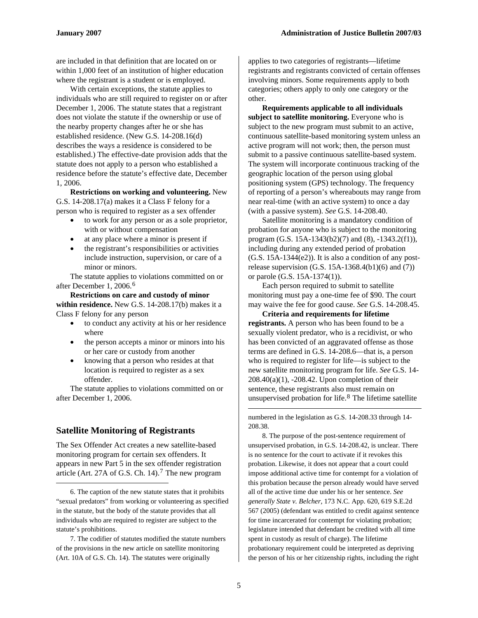are included in that definition that are located on or within 1,000 feet of an institution of higher education where the registrant is a student or is employed.

With certain exceptions, the statute applies to individuals who are still required to register on or after December 1, 2006. The statute states that a registrant does not violate the statute if the ownership or use of the nearby property changes after he or she has established residence. (New G.S. 14-208.16(d) describes the ways a residence is considered to be established.) The effective-date provision adds that the statute does not apply to a person who established a residence before the statute's effective date, December 1, 2006.

**Restrictions on working and volunteering.** New G.S. 14-208.17(a) makes it a Class F felony for a person who is required to register as a sex offender

- to work for any person or as a sole proprietor, with or without compensation
- at any place where a minor is present if
- the registrant's responsibilities or activities include instruction, supervision, or care of a minor or minors.

The statute applies to violations committed on or after December 1, 2006.[6](#page-4-0)

**Restrictions on care and custody of minor within residence.** New G.S. 14-208.17(b) makes it a Class F felony for any person

- to conduct any activity at his or her residence where
- the person accepts a minor or minors into his or her care or custody from another
- knowing that a person who resides at that location is required to register as a sex offender.

The statute applies to violations committed on or after December 1, 2006.

#### <span id="page-4-2"></span>**Satellite Monitoring of Registrants**

1

The Sex Offender Act creates a new satellite-based monitoring program for certain sex offenders. It appears in new Part 5 in the sex offender registration article (Art. 2[7](#page-4-1)A of G.S. Ch. 14).<sup>7</sup> The new program

applies to two categories of registrants—lifetime registrants and registrants convicted of certain offenses involving minors. Some requirements apply to both categories; others apply to only one category or the other.

**Requirements applicable to all individuals**  subject to satellite monitoring. Everyone who is subject to the new program must submit to an active, continuous satellite-based monitoring system unless an active program will not work; then, the person must submit to a passive continuous satellite-based system. The system will incorporate continuous tracking of the geographic location of the person using global positioning system (GPS) technology. The frequency of reporting of a person's whereabouts may range from near real-time (with an active system) to once a day (with a passive system). *See* G.S. 14-208.40.

Satellite monitoring is a mandatory condition of probation for anyone who is subject to the monitoring program (G.S. 15A-1343(b2)(7) and (8), -1343.2(f1)), including during any extended period of probation (G.S. 15A-1344(e2)). It is also a condition of any postrelease supervision  $(G.S. 15A-1368.4(b1)(6)$  and  $(7)$ ) or parole (G.S. 15A-1374(1)).

Each person required to submit to satellite monitoring must pay a one-time fee of \$90. The court may waive the fee for good cause. *See* G.S. 14-208.45.

**Criteria and requirements for lifetime registrants.** A person who has been found to be a sexually violent predator, who is a recidivist, or who has been convicted of an aggravated offense as those terms are defined in G.S. 14-208.6—that is, a person who is required to register for life—is subject to the new satellite monitoring program for life. *See* G.S. 14- 208.40(a)(1), -208.42. Upon completion of their sentence, these registrants also must remain on unsupervised probation for life.[8](#page-4-2) The lifetime satellite

numbered in the legislation as G.S. 14-208.33 through 14- 208.38.

8. The purpose of the post-sentence requirement of unsupervised probation, in G.S. 14-208.42, is unclear. There is no sentence for the court to activate if it revokes this probation. Likewise, it does not appear that a court could impose additional active time for contempt for a violation of this probation because the person already would have served all of the active time due under his or her sentence. *See generally State v. Belcher,* 173 N.C. App. 620, 619 S.E.2d 567 (2005) (defendant was entitled to credit against sentence for time incarcerated for contempt for violating probation; legislature intended that defendant be credited with all time spent in custody as result of charge). The lifetime probationary requirement could be interpreted as depriving the person of his or her citizenship rights, including the right

 $\overline{a}$ 

<span id="page-4-0"></span><sup>6.</sup> The caption of the new statute states that it prohibits "sexual predators" from working or volunteering as specified in the statute, but the body of the statute provides that all individuals who are required to register are subject to the statute's prohibitions.

<span id="page-4-1"></span><sup>7.</sup> The codifier of statutes modified the statute numbers of the provisions in the new article on satellite monitoring (Art. 10A of G.S. Ch. 14). The statutes were originally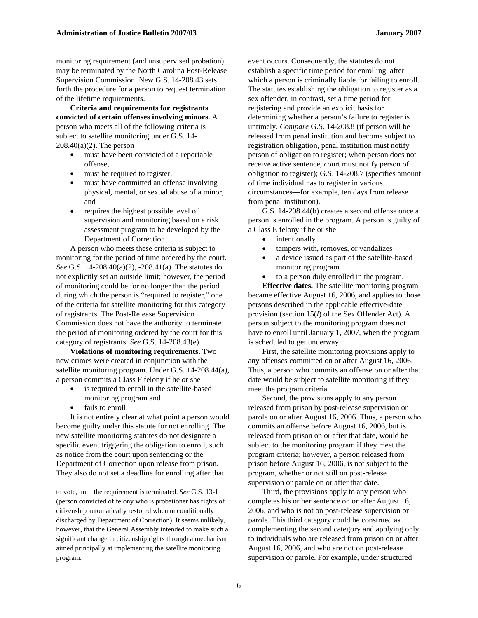monitoring requirement (and unsupervised probation) may be terminated by the North Carolina Post-Release Supervision Commission. New G.S. 14-208.43 sets forth the procedure for a person to request termination of the lifetime requirements.

**Criteria and requirements for registrants convicted of certain offenses involving minors.** A person who meets all of the following criteria is subject to satellite monitoring under G.S. 14- 208.40(a)(2). The person

- must have been convicted of a reportable offense,
- must be required to register,
- must have committed an offense involving physical, mental, or sexual abuse of a minor, and
- requires the highest possible level of supervision and monitoring based on a risk assessment program to be developed by the Department of Correction.

A person who meets these criteria is subject to monitoring for the period of time ordered by the court. *See* G.S. 14-208.40(a)(2), -208.41(a). The statutes do not explicitly set an outside limit; however, the period of monitoring could be for no longer than the period during which the person is "required to register," one of the criteria for satellite monitoring for this category of registrants. The Post-Release Supervision Commission does not have the authority to terminate the period of monitoring ordered by the court for this category of registrants. *See* G.S. 14-208.43(e).

**Violations of monitoring requirements.** Two new crimes were created in conjunction with the satellite monitoring program. Under G.S. 14-208.44(a), a person commits a Class F felony if he or she

- is required to enroll in the satellite-based monitoring program and
- fails to enroll.

1

It is not entirely clear at what point a person would become guilty under this statute for not enrolling. The new satellite monitoring statutes do not designate a specific event triggering the obligation to enroll, such as notice from the court upon sentencing or the Department of Correction upon release from prison. They also do not set a deadline for enrolling after that

event occurs. Consequently, the statutes do not establish a specific time period for enrolling, after which a person is criminally liable for failing to enroll. The statutes establishing the obligation to register as a sex offender, in contrast, set a time period for registering and provide an explicit basis for determining whether a person's failure to register is untimely. *Compare* G.S. 14-208.8 (if person will be released from penal institution and become subject to registration obligation, penal institution must notify person of obligation to register; when person does not receive active sentence, court must notify person of obligation to register); G.S. 14-208.7 (specifies amount of time individual has to register in various circumstances—for example, ten days from release from penal institution).

G.S. 14-208.44(b) creates a second offense once a person is enrolled in the program. A person is guilty of a Class E felony if he or she

- intentionally
- tampers with, removes, or vandalizes
- a device issued as part of the satellite-based monitoring program
- to a person duly enrolled in the program.

**Effective dates.** The satellite monitoring program became effective August 16, 2006, and applies to those persons described in the applicable effective-date provision (section 15(*l*) of the Sex Offender Act). A person subject to the monitoring program does not have to enroll until January 1, 2007, when the program is scheduled to get underway.

First, the satellite monitoring provisions apply to any offenses committed on or after August 16, 2006. Thus, a person who commits an offense on or after that date would be subject to satellite monitoring if they meet the program criteria.

Second, the provisions apply to any person released from prison by post-release supervision or parole on or after August 16, 2006. Thus, a person who commits an offense before August 16, 2006, but is released from prison on or after that date, would be subject to the monitoring program if they meet the program criteria; however, a person released from prison before August 16, 2006, is not subject to the program, whether or not still on post-release supervision or parole on or after that date.

Third, the provisions apply to any person who completes his or her sentence on or after August 16, 2006, and who is not on post-release supervision or parole. This third category could be construed as complementing the second category and applying only to individuals who are released from prison on or after August 16, 2006, and who are not on post-release supervision or parole. For example, under structured

to vote, until the requirement is terminated. *See* G.S. 13-1 (person convicted of felony who is probationer has rights of citizenship automatically restored when unconditionally discharged by Department of Correction). It seems unlikely, however, that the General Assembly intended to make such a significant change in citizenship rights through a mechanism aimed principally at implementing the satellite monitoring program.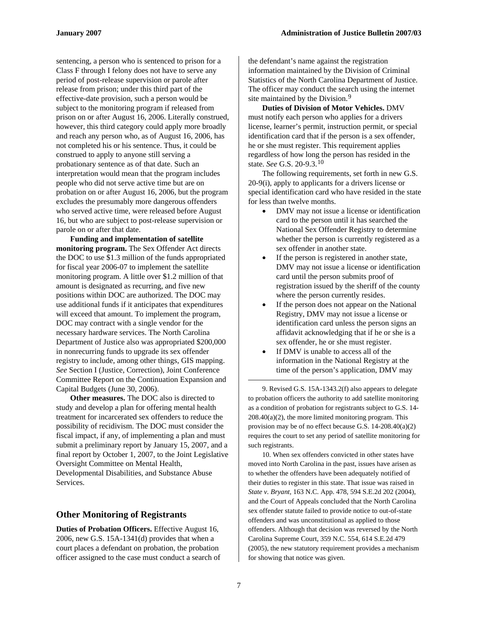sentencing, a person who is sentenced to prison for a Class F through I felony does not have to serve any period of post-release supervision or parole after release from prison; under this third part of the effective-date provision, such a person would be subject to the monitoring program if released from prison on or after August 16, 2006. Literally construed, however, this third category could apply more broadly and reach any person who, as of August 16, 2006, has not completed his or his sentence. Thus, it could be construed to apply to anyone still serving a probationary sentence as of that date. Such an interpretation would mean that the program includes people who did not serve active time but are on probation on or after August 16, 2006, but the program excludes the presumably more dangerous offenders who served active time, were released before August 16, but who are subject to post-release supervision or parole on or after that date.

**Funding and implementation of satellite monitoring program.** The Sex Offender Act directs the DOC to use \$1.3 million of the funds appropriated for fiscal year 2006-07 to implement the satellite monitoring program. A little over \$1.2 million of that amount is designated as recurring, and five new positions within DOC are authorized. The DOC may use additional funds if it anticipates that expenditures will exceed that amount. To implement the program, DOC may contract with a single vendor for the necessary hardware services. The North Carolina Department of Justice also was appropriated \$200,000 in nonrecurring funds to upgrade its sex offender registry to include, among other things, GIS mapping. *See* Section I (Justice, Correction), Joint Conference Committee Report on the Continuation Expansion and Capital Budgets (June 30, 2006).

<span id="page-6-1"></span><span id="page-6-0"></span>**Other measures.** The DOC also is directed to study and develop a plan for offering mental health treatment for incarcerated sex offenders to reduce the possibility of recidivism. The DOC must consider the fiscal impact, if any, of implementing a plan and must submit a preliminary report by January 15, 2007, and a final report by October 1, 2007, to the Joint Legislative Oversight Committee on Mental Health, Developmental Disabilities, and Substance Abuse Services.

#### **Other Monitoring of Registrants**

**Duties of Probation Officers.** Effective August 16, 2006, new G.S. 15A-1341(d) provides that when a court places a defendant on probation, the probation officer assigned to the case must conduct a search of the defendant's name against the registration information maintained by the Division of Criminal Statistics of the North Carolina Department of Justice. The officer may conduct the search using the internet site maintained by the Division.<sup>[9](#page-6-0)</sup>

**Duties of Division of Motor Vehicles.** DMV must notify each person who applies for a drivers license, learner's permit, instruction permit, or special identification card that if the person is a sex offender, he or she must register. This requirement applies regardless of how long the person has resided in the state. *See* G.S. 20-9.3.[10](#page-6-1)

The following requirements, set forth in new G.S. 20-9(i), apply to applicants for a drivers license or special identification card who have resided in the state for less than twelve months.

- DMV may not issue a license or identification card to the person until it has searched the National Sex Offender Registry to determine whether the person is currently registered as a sex offender in another state.
- If the person is registered in another state, DMV may not issue a license or identification card until the person submits proof of registration issued by the sheriff of the county where the person currently resides.
- If the person does not appear on the National Registry, DMV may not issue a license or identification card unless the person signs an affidavit acknowledging that if he or she is a sex offender, he or she must register.
- If DMV is unable to access all of the information in the National Registry at the time of the person's application, DMV may

9. Revised G.S. 15A-1343.2(f) also appears to delegate to probation officers the authority to add satellite monitoring as a condition of probation for registrants subject to G.S. 14-  $208.40(a)(2)$ , the more limited monitoring program. This provision may be of no effect because G.S. 14-208.40(a)(2) requires the court to set any period of satellite monitoring for such registrants.

10. When sex offenders convicted in other states have moved into North Carolina in the past, issues have arisen as to whether the offenders have been adequately notified of their duties to register in this state. That issue was raised in *State v. Bryant,* 163 N.C. App. 478, 594 S.E.2d 202 (2004), and the Court of Appeals concluded that the North Carolina sex offender statute failed to provide notice to out-of-state offenders and was unconstitutional as applied to those offenders. Although that decision was reversed by the North Carolina Supreme Court, 359 N.C. 554, 614 S.E.2d 479 (2005), the new statutory requirement provides a mechanism for showing that notice was given.

 $\overline{a}$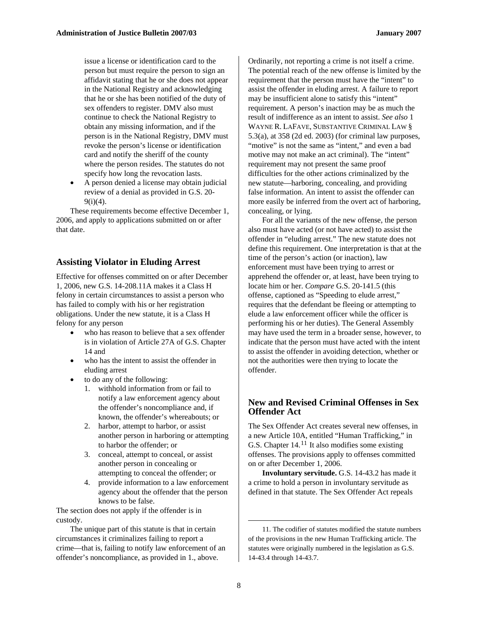issue a license or identification card to the person but must require the person to sign an affidavit stating that he or she does not appear in the National Registry and acknowledging that he or she has been notified of the duty of sex offenders to register. DMV also must continue to check the National Registry to obtain any missing information, and if the person is in the National Registry, DMV must revoke the person's license or identification card and notify the sheriff of the county where the person resides. The statutes do not specify how long the revocation lasts.

• A person denied a license may obtain judicial review of a denial as provided in G.S. 20-  $9(i)(4)$ .

These requirements become effective December 1, 2006, and apply to applications submitted on or after that date.

#### **Assisting Violator in Eluding Arrest**

Effective for offenses committed on or after December 1, 2006, new G.S. 14-208.11A makes it a Class H felony in certain circumstances to assist a person who has failed to comply with his or her registration obligations. Under the new statute, it is a Class H felony for any person

- who has reason to believe that a sex offender is in violation of Article 27A of G.S. Chapter 14 and
- who has the intent to assist the offender in eluding arrest
- to do any of the following:
	- 1. withhold information from or fail to notify a law enforcement agency about the offender's noncompliance and, if known, the offender's whereabouts; or
	- 2. harbor, attempt to harbor, or assist another person in harboring or attempting to harbor the offender; or
	- 3. conceal, attempt to conceal, or assist another person in concealing or attempting to conceal the offender; or
	- 4. provide information to a law enforcement agency about the offender that the person knows to be false.

The section does not apply if the offender is in custody.

<span id="page-7-0"></span>The unique part of this statute is that in certain circumstances it criminalizes failing to report a crime—that is, failing to notify law enforcement of an offender's noncompliance, as provided in 1., above.

Ordinarily, not reporting a crime is not itself a crime. The potential reach of the new offense is limited by the requirement that the person must have the "intent" to assist the offender in eluding arrest. A failure to report may be insufficient alone to satisfy this "intent" requirement. A person's inaction may be as much the result of indifference as an intent to assist. *See also* 1 WAYNE R. LAFAVE, SUBSTANTIVE CRIMINAL LAW § 5.3(a), at 358 (2d ed. 2003) (for criminal law purposes, "motive" is not the same as "intent," and even a bad motive may not make an act criminal). The "intent" requirement may not present the same proof difficulties for the other actions criminalized by the new statute—harboring, concealing, and providing false information. An intent to assist the offender can more easily be inferred from the overt act of harboring, concealing, or lying.

For all the variants of the new offense, the person also must have acted (or not have acted) to assist the offender in "eluding arrest." The new statute does not define this requirement. One interpretation is that at the time of the person's action (or inaction), law enforcement must have been trying to arrest or apprehend the offender or, at least, have been trying to locate him or her. *Compare* G.S. 20-141.5 (this offense, captioned as "Speeding to elude arrest," requires that the defendant be fleeing or attempting to elude a law enforcement officer while the officer is performing his or her duties). The General Assembly may have used the term in a broader sense, however, to indicate that the person must have acted with the intent to assist the offender in avoiding detection, whether or not the authorities were then trying to locate the offender.

#### **New and Revised Criminal Offenses in Sex Offender Act**

The Sex Offender Act creates several new offenses, in a new Article 10A, entitled "Human Trafficking," in G.S. Chapter  $14.11$  $14.11$  It also modifies some existing offenses. The provisions apply to offenses committed on or after December 1, 2006.

**Involuntary servitude.** G.S. 14-43.2 has made it a crime to hold a person in involuntary servitude as defined in that statute. The Sex Offender Act repeals

 $\overline{a}$ 

<sup>11.</sup> The codifier of statutes modified the statute numbers of the provisions in the new Human Trafficking article. The statutes were originally numbered in the legislation as G.S. 14-43.4 through 14-43.7.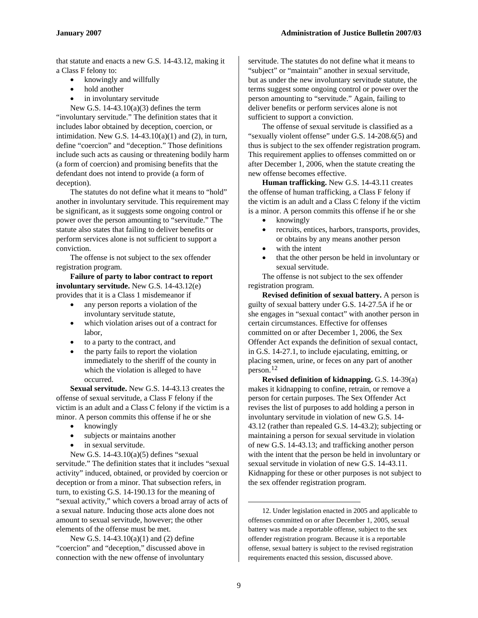that statute and enacts a new G.S. 14-43.12, making it a Class F felony to:

- knowingly and willfully
- hold another
- in involuntary servitude

New G.S.  $14-43.10(a)(3)$  defines the term "involuntary servitude." The definition states that it includes labor obtained by deception, coercion, or intimidation. New G.S.  $14-43.10(a)(1)$  and  $(2)$ , in turn, define "coercion" and "deception." Those definitions include such acts as causing or threatening bodily harm (a form of coercion) and promising benefits that the defendant does not intend to provide (a form of deception).

The statutes do not define what it means to "hold" another in involuntary servitude. This requirement may be significant, as it suggests some ongoing control or power over the person amounting to "servitude." The statute also states that failing to deliver benefits or perform services alone is not sufficient to support a conviction.

The offense is not subject to the sex offender registration program.

**Failure of party to labor contract to report involuntary servitude.** New G.S. 14-43.12(e) provides that it is a Class 1 misdemeanor if

- any person reports a violation of the involuntary servitude statute,
- which violation arises out of a contract for labor,
- to a party to the contract, and
- the party fails to report the violation immediately to the sheriff of the county in which the violation is alleged to have occurred.

**Sexual servitude.** New G.S. 14-43.13 creates the offense of sexual servitude, a Class F felony if the victim is an adult and a Class C felony if the victim is a minor. A person commits this offense if he or she

- knowingly
- subjects or maintains another
- in sexual servitude.

New G.S. 14-43.10(a)(5) defines "sexual servitude." The definition states that it includes "sexual activity" induced, obtained, or provided by coercion or deception or from a minor. That subsection refers, in turn, to existing G.S. 14-190.13 for the meaning of "sexual activity," which covers a broad array of acts of a sexual nature. Inducing those acts alone does not amount to sexual servitude, however; the other elements of the offense must be met.

<span id="page-8-0"></span>New G.S. 14-43.10(a)(1) and (2) define "coercion" and "deception," discussed above in connection with the new offense of involuntary

servitude. The statutes do not define what it means to "subject" or "maintain" another in sexual servitude, but as under the new involuntary servitude statute, the terms suggest some ongoing control or power over the person amounting to "servitude." Again, failing to deliver benefits or perform services alone is not sufficient to support a conviction.

The offense of sexual servitude is classified as a "sexually violent offense" under G.S. 14-208.6(5) and thus is subject to the sex offender registration program. This requirement applies to offenses committed on or after December 1, 2006, when the statute creating the new offense becomes effective.

**Human trafficking.** New G.S. 14-43.11 creates the offense of human trafficking, a Class F felony if the victim is an adult and a Class C felony if the victim is a minor. A person commits this offense if he or she

- knowingly
- recruits, entices, harbors, transports, provides, or obtains by any means another person
- with the intent
- that the other person be held in involuntary or sexual servitude.

The offense is not subject to the sex offender registration program.

**Revised definition of sexual battery.** A person is guilty of sexual battery under G.S. 14-27.5A if he or she engages in "sexual contact" with another person in certain circumstances. Effective for offenses committed on or after December 1, 2006, the Sex Offender Act expands the definition of sexual contact, in G.S. 14-27.1, to include ejaculating, emitting, or placing semen, urine, or feces on any part of another person.[12](#page-8-0)

**Revised definition of kidnapping.** G.S. 14-39(a) makes it kidnapping to confine, retrain, or remove a person for certain purposes. The Sex Offender Act revises the list of purposes to add holding a person in involuntary servitude in violation of new G.S. 14- 43.12 (rather than repealed G.S. 14-43.2); subjecting or maintaining a person for sexual servitude in violation of new G.S. 14-43.13; and trafficking another person with the intent that the person be held in involuntary or sexual servitude in violation of new G.S. 14-43.11. Kidnapping for these or other purposes is not subject to the sex offender registration program.

12. Under legislation enacted in 2005 and applicable to offenses committed on or after December 1, 2005, sexual battery was made a reportable offense, subject to the sex offender registration program. Because it is a reportable offense, sexual battery is subject to the revised registration requirements enacted this session, discussed above.

1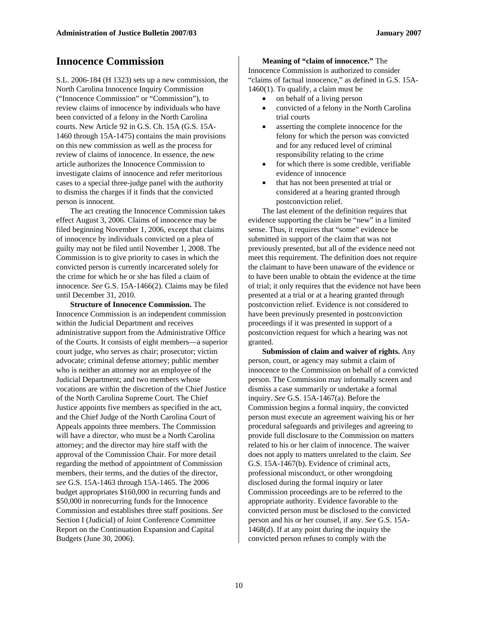### **Innocence Commission**

S.L. 2006-184 (H 1323) sets up a new commission, the North Carolina Innocence Inquiry Commission ("Innocence Commission" or "Commission"), to review claims of innocence by individuals who have been convicted of a felony in the North Carolina courts. New Article 92 in G.S. Ch. 15A (G.S. 15A-1460 through 15A-1475) contains the main provisions on this new commission as well as the process for review of claims of innocence. In essence, the new article authorizes the Innocence Commission to investigate claims of innocence and refer meritorious cases to a special three-judge panel with the authority to dismiss the charges if it finds that the convicted person is innocent.

The act creating the Innocence Commission takes effect August 3, 2006. Claims of innocence may be filed beginning November 1, 2006, except that claims of innocence by individuals convicted on a plea of guilty may not be filed until November 1, 2008. The Commission is to give priority to cases in which the convicted person is currently incarcerated solely for the crime for which he or she has filed a claim of innocence. *See* G.S. 15A-1466(2). Claims may be filed until December 31, 2010.

**Structure of Innocence Commission.** The Innocence Commission is an independent commission within the Judicial Department and receives administrative support from the Administrative Office of the Courts. It consists of eight members—a superior court judge, who serves as chair; prosecutor; victim advocate; criminal defense attorney; public member who is neither an attorney nor an employee of the Judicial Department; and two members whose vocations are within the discretion of the Chief Justice of the North Carolina Supreme Court. The Chief Justice appoints five members as specified in the act, and the Chief Judge of the North Carolina Court of Appeals appoints three members. The Commission will have a director, who must be a North Carolina attorney; and the director may hire staff with the approval of the Commission Chair. For more detail regarding the method of appointment of Commission members, their terms, and the duties of the director, *see* G.S. 15A-1463 through 15A-1465. The 2006 budget appropriates \$160,000 in recurring funds and \$50,000 in nonrecurring funds for the Innocence Commission and establishes three staff positions. *See*  Section I (Judicial) of Joint Conference Committee Report on the Continuation Expansion and Capital Budgets (June 30, 2006).

#### **Meaning of "claim of innocence."** The

Innocence Commission is authorized to consider "claims of factual innocence," as defined in G.S. 15A-1460(1). To qualify, a claim must be

- on behalf of a living person
- convicted of a felony in the North Carolina trial courts
- asserting the complete innocence for the felony for which the person was convicted and for any reduced level of criminal responsibility relating to the crime
- for which there is some credible, verifiable evidence of innocence
- that has not been presented at trial or considered at a hearing granted through postconviction relief.

The last element of the definition requires that evidence supporting the claim be "new" in a limited sense. Thus, it requires that "some" evidence be submitted in support of the claim that was not previously presented, but all of the evidence need not meet this requirement. The definition does not require the claimant to have been unaware of the evidence or to have been unable to obtain the evidence at the time of trial; it only requires that the evidence not have been presented at a trial or at a hearing granted through postconviction relief. Evidence is not considered to have been previously presented in postconviction proceedings if it was presented in support of a postconviction request for which a hearing was not granted.

**Submission of claim and waiver of rights.** Any person, court, or agency may submit a claim of innocence to the Commission on behalf of a convicted person. The Commission may informally screen and dismiss a case summarily or undertake a formal inquiry. *See* G.S. 15A-1467(a). Before the Commission begins a formal inquiry, the convicted person must execute an agreement waiving his or her procedural safeguards and privileges and agreeing to provide full disclosure to the Commission on matters related to his or her claim of innocence. The waiver does not apply to matters unrelated to the claim. *See*  G.S. 15A-1467(b). Evidence of criminal acts, professional misconduct, or other wrongdoing disclosed during the formal inquiry or later Commission proceedings are to be referred to the appropriate authority. Evidence favorable to the convicted person must be disclosed to the convicted person and his or her counsel, if any. *See* G.S. 15A-1468(d). If at any point during the inquiry the convicted person refuses to comply with the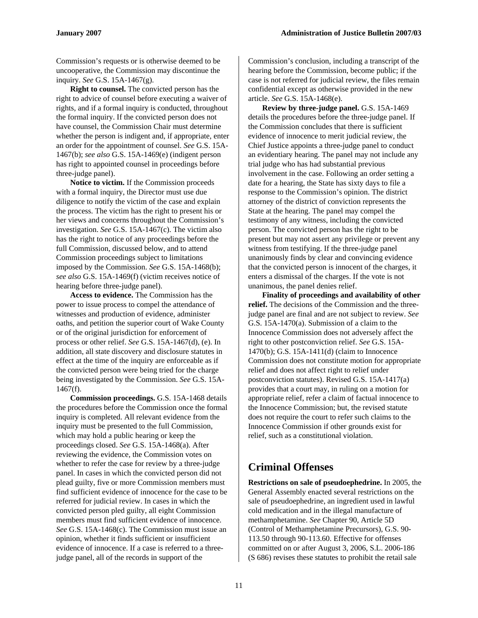Commission's requests or is otherwise deemed to be uncooperative, the Commission may discontinue the inquiry. *See* G.S. 15A-1467(g).

**Right to counsel.** The convicted person has the right to advice of counsel before executing a waiver of rights, and if a formal inquiry is conducted, throughout the formal inquiry. If the convicted person does not have counsel, the Commission Chair must determine whether the person is indigent and, if appropriate, enter an order for the appointment of counsel. *See* G.S. 15A-1467(b); *see also* G.S. 15A-1469(e) (indigent person has right to appointed counsel in proceedings before three-judge panel).

**Notice to victim.** If the Commission proceeds with a formal inquiry, the Director must use due diligence to notify the victim of the case and explain the process. The victim has the right to present his or her views and concerns throughout the Commission's investigation. *See* G.S. 15A-1467(c). The victim also has the right to notice of any proceedings before the full Commission, discussed below, and to attend Commission proceedings subject to limitations imposed by the Commission. *See* G.S. 15A-1468(b); *see also* G.S. 15A-1469(f) (victim receives notice of hearing before three-judge panel).

**Access to evidence.** The Commission has the power to issue process to compel the attendance of witnesses and production of evidence, administer oaths, and petition the superior court of Wake County or of the original jurisdiction for enforcement of process or other relief. *See* G.S. 15A-1467(d), (e). In addition, all state discovery and disclosure statutes in effect at the time of the inquiry are enforceable as if the convicted person were being tried for the charge being investigated by the Commission. *See* G.S. 15A-1467(f).

**Commission proceedings.** G.S. 15A-1468 details the procedures before the Commission once the formal inquiry is completed. All relevant evidence from the inquiry must be presented to the full Commission, which may hold a public hearing or keep the proceedings closed. *See* G.S. 15A-1468(a). After reviewing the evidence, the Commission votes on whether to refer the case for review by a three-judge panel. In cases in which the convicted person did not plead guilty, five or more Commission members must find sufficient evidence of innocence for the case to be referred for judicial review. In cases in which the convicted person pled guilty, all eight Commission members must find sufficient evidence of innocence. *See* G.S. 15A-1468(c). The Commission must issue an opinion, whether it finds sufficient or insufficient evidence of innocence. If a case is referred to a threejudge panel, all of the records in support of the

Commission's conclusion, including a transcript of the hearing before the Commission, become public; if the case is not referred for judicial review, the files remain confidential except as otherwise provided in the new article. *See* G.S. 15A-1468(e).

**Review by three-judge panel.** G.S. 15A-1469 details the procedures before the three-judge panel. If the Commission concludes that there is sufficient evidence of innocence to merit judicial review, the Chief Justice appoints a three-judge panel to conduct an evidentiary hearing. The panel may not include any trial judge who has had substantial previous involvement in the case. Following an order setting a date for a hearing, the State has sixty days to file a response to the Commission's opinion. The district attorney of the district of conviction represents the State at the hearing. The panel may compel the testimony of any witness, including the convicted person. The convicted person has the right to be present but may not assert any privilege or prevent any witness from testifying. If the three-judge panel unanimously finds by clear and convincing evidence that the convicted person is innocent of the charges, it enters a dismissal of the charges. If the vote is not unanimous, the panel denies relief.

**Finality of proceedings and availability of other relief.** The decisions of the Commission and the threejudge panel are final and are not subject to review. *See*  G.S. 15A-1470(a). Submission of a claim to the Innocence Commission does not adversely affect the right to other postconviction relief. *See* G.S. 15A-1470(b); G.S. 15A-1411(d) (claim to Innocence Commission does not constitute motion for appropriate relief and does not affect right to relief under postconviction statutes). Revised G.S. 15A-1417(a) provides that a court may, in ruling on a motion for appropriate relief, refer a claim of factual innocence to the Innocence Commission; but, the revised statute does not require the court to refer such claims to the Innocence Commission if other grounds exist for relief, such as a constitutional violation.

## **Criminal Offenses**

**Restrictions on sale of pseudoephedrine.** In 2005, the General Assembly enacted several restrictions on the sale of pseudoephedrine, an ingredient used in lawful cold medication and in the illegal manufacture of methamphetamine. *See* Chapter 90, Article 5D (Control of Methamphetamine Precursors), G.S. 90- 113.50 through 90-113.60. Effective for offenses committed on or after August 3, 2006, S.L. 2006-186 (S 686) revises these statutes to prohibit the retail sale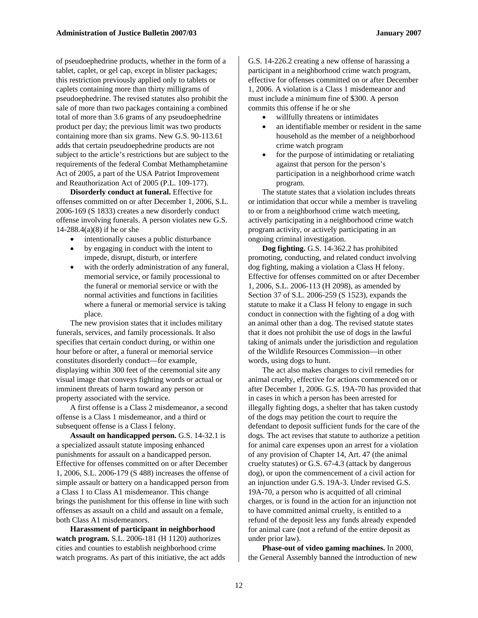of pseudoephedrine products, whether in the form of a tablet, caplet, or gel cap, except in blister packages; this restriction previously applied only to tablets or caplets containing more than thirty milligrams of pseudoephedrine. The revised statutes also prohibit the sale of more than two packages containing a combined total of more than 3.6 grams of any pseudoephedrine product per day; the previous limit was two products containing more than six grams. New G.S. 90-113.61 adds that certain pseudoephedrine products are not subject to the article's restrictions but are subject to the requirements of the federal Combat Methamphetamine Act of 2005, a part of the USA Patriot Improvement and Reauthorization Act of 2005 (P.L. 109-177).

**Disorderly conduct at funeral.** Effective for offenses committed on or after December 1, 2006, S.L. 2006-169 (S 1833) creates a new disorderly conduct offense involving funerals. A person violates new G.S. 14-288.4(a)(8) if he or she

- intentionally causes a public disturbance
- by engaging in conduct with the intent to impede, disrupt, disturb, or interfere
- with the orderly administration of any funeral, memorial service, or family processional to the funeral or memorial service or with the normal activities and functions in facilities where a funeral or memorial service is taking place.

The new provision states that it includes military funerals, services, and family processionals. It also specifies that certain conduct during, or within one hour before or after, a funeral or memorial service constitutes disorderly conduct—for example, displaying within 300 feet of the ceremonial site any visual image that conveys fighting words or actual or imminent threats of harm toward any person or property associated with the service.

A first offense is a Class 2 misdemeanor, a second offense is a Class 1 misdemeanor, and a third or subsequent offense is a Class I felony.

**Assault on handicapped person.** G.S. 14-32.1 is a specialized assault statute imposing enhanced punishments for assault on a handicapped person. Effective for offenses committed on or after December 1, 2006, S.L. 2006-179 (S 488) increases the offense of simple assault or battery on a handicapped person from a Class 1 to Class A1 misdemeanor. This change brings the punishment for this offense in line with such offenses as assault on a child and assault on a female, both Class A1 misdemeanors.

**Harassment of participant in neighborhood watch program.** S.L. 2006-181 (H 1120) authorizes cities and counties to establish neighborhood crime watch programs. As part of this initiative, the act adds G.S. 14-226.2 creating a new offense of harassing a participant in a neighborhood crime watch program, effective for offenses committed on or after December 1, 2006. A violation is a Class 1 misdemeanor and must include a minimum fine of \$300. A person commits this offense if he or she

- willfully threatens or intimidates
- an identifiable member or resident in the same household as the member of a neighborhood crime watch program
- for the purpose of intimidating or retaliating against that person for the person's participation in a neighborhood crime watch program.

The statute states that a violation includes threats or intimidation that occur while a member is traveling to or from a neighborhood crime watch meeting, actively participating in a neighborhood crime watch program activity, or actively participating in an ongoing criminal investigation.

**Dog fighting.** G.S. 14-362.2 has prohibited promoting, conducting, and related conduct involving dog fighting, making a violation a Class H felony. Effective for offenses committed on or after December 1, 2006, S.L. 2006-113 (H 2098), as amended by Section 37 of S.L. 2006-259 (S 1523), expands the statute to make it a Class H felony to engage in such conduct in connection with the fighting of a dog with an animal other than a dog. The revised statute states that it does not prohibit the use of dogs in the lawful taking of animals under the jurisdiction and regulation of the Wildlife Resources Commission—in other words, using dogs to hunt.

The act also makes changes to civil remedies for animal cruelty, effective for actions commenced on or after December 1, 2006. G.S. 19A-70 has provided that in cases in which a person has been arrested for illegally fighting dogs, a shelter that has taken custody of the dogs may petition the court to require the defendant to deposit sufficient funds for the care of the dogs. The act revises that statute to authorize a petition for animal care expenses upon an arrest for a violation of any provision of Chapter 14, Art. 47 (the animal cruelty statutes) or G.S. 67-4.3 (attack by dangerous dog), or upon the commencement of a civil action for an injunction under G.S. 19A-3. Under revised G.S. 19A-70, a person who is acquitted of all criminal charges, or is found in the action for an injunction not to have committed animal cruelty, is entitled to a refund of the deposit less any funds already expended for animal care (not a refund of the entire deposit as under prior law).

**Phase-out of video gaming machines.** In 2000, the General Assembly banned the introduction of new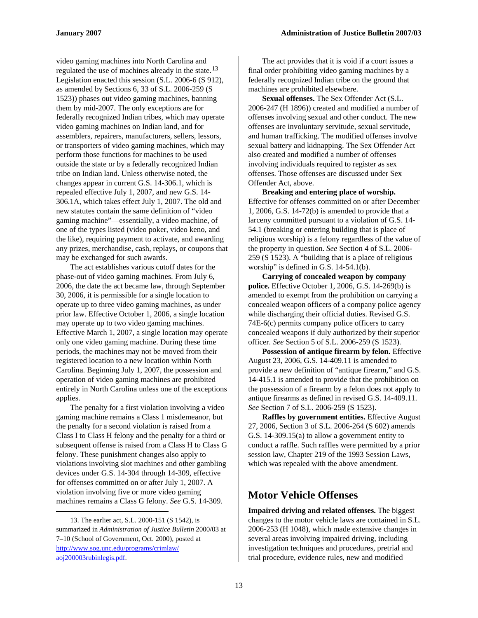video gaming machines into North Carolina and regulated the use of machines already in the state.<sup>[13](#page-12-0)</sup> Legislation enacted this session (S.L. 2006-6 (S 912), as amended by Sections 6, 33 of S.L. 2006-259 (S 1523)) phases out video gaming machines, banning them by mid-2007. The only exceptions are for federally recognized Indian tribes, which may operate video gaming machines on Indian land, and for assemblers, repairers, manufacturers, sellers, lessors, or transporters of video gaming machines, which may perform those functions for machines to be used outside the state or by a federally recognized Indian tribe on Indian land. Unless otherwise noted, the changes appear in current G.S. 14-306.1, which is repealed effective July 1, 2007, and new G.S. 14- 306.1A, which takes effect July 1, 2007. The old and new statutes contain the same definition of "video gaming machine"—essentially, a video machine, of one of the types listed (video poker, video keno, and the like), requiring payment to activate, and awarding any prizes, merchandise, cash, replays, or coupons that may be exchanged for such awards.

The act establishes various cutoff dates for the phase-out of video gaming machines. From July 6, 2006, the date the act became law, through September 30, 2006, it is permissible for a single location to operate up to three video gaming machines, as under prior law. Effective October 1, 2006, a single location may operate up to two video gaming machines. Effective March 1, 2007, a single location may operate only one video gaming machine. During these time periods, the machines may not be moved from their registered location to a new location within North Carolina. Beginning July 1, 2007, the possession and operation of video gaming machines are prohibited entirely in North Carolina unless one of the exceptions applies.

The penalty for a first violation involving a video gaming machine remains a Class 1 misdemeanor, but the penalty for a second violation is raised from a Class I to Class H felony and the penalty for a third or subsequent offense is raised from a Class H to Class G felony. These punishment changes also apply to violations involving slot machines and other gambling devices under G.S. 14-304 through 14-309, effective for offenses committed on or after July 1, 2007. A violation involving five or more video gaming machines remains a Class G felony. *See* G.S. 14-309.

1

The act provides that it is void if a court issues a final order prohibiting video gaming machines by a federally recognized Indian tribe on the ground that machines are prohibited elsewhere.

**Sexual offenses.** The Sex Offender Act (S.L. 2006-247 (H 1896)) created and modified a number of offenses involving sexual and other conduct. The new offenses are involuntary servitude, sexual servitude, and human trafficking. The modified offenses involve sexual battery and kidnapping. The Sex Offender Act also created and modified a number of offenses involving individuals required to register as sex offenses. Those offenses are discussed under Sex Offender Act, above.

**Breaking and entering place of worship.**  Effective for offenses committed on or after December 1, 2006, G.S. 14-72(b) is amended to provide that a larceny committed pursuant to a violation of G.S. 14- 54.1 (breaking or entering building that is place of religious worship) is a felony regardless of the value of the property in question. *See* Section 4 of S.L. 2006- 259 (S 1523). A "building that is a place of religious worship" is defined in G.S. 14-54.1(b).

**Carrying of concealed weapon by company police.** Effective October 1, 2006, G.S. 14-269(b) is amended to exempt from the prohibition on carrying a concealed weapon officers of a company police agency while discharging their official duties. Revised G.S. 74E-6(c) permits company police officers to carry concealed weapons if duly authorized by their superior officer. *See* Section 5 of S.L. 2006-259 (S 1523).

**Possession of antique firearm by felon.** Effective August 23, 2006, G.S. 14-409.11 is amended to provide a new definition of "antique firearm," and G.S. 14-415.1 is amended to provide that the prohibition on the possession of a firearm by a felon does not apply to antique firearms as defined in revised G.S. 14-409.11. *See* Section 7 of S.L. 2006-259 (S 1523).

**Raffles by government entities.** Effective August 27, 2006, Section 3 of S.L. 2006-264 (S 602) amends G.S. 14-309.15(a) to allow a government entity to conduct a raffle. Such raffles were permitted by a prior session law, Chapter 219 of the 1993 Session Laws, which was repealed with the above amendment.

#### **Motor Vehicle Offenses**

**Impaired driving and related offenses.** The biggest changes to the motor vehicle laws are contained in S.L. 2006-253 (H 1048), which made extensive changes in several areas involving impaired driving, including investigation techniques and procedures, pretrial and trial procedure, evidence rules, new and modified

<span id="page-12-0"></span><sup>13.</sup> The earlier act, S.L. 2000-151 (S 1542), is summarized in *Administration of Justice Bulletin* 2000/03 at 7–10 (School of Government, Oct. 2000), posted at [http://www.sog.unc.edu/programs/crimlaw/](http://www.sog.unc.edu/programs/crimlaw/%0Baoj200003rubinlegis.pdf) [aoj200003rubinlegis.pdf](http://www.sog.unc.edu/programs/crimlaw/%0Baoj200003rubinlegis.pdf).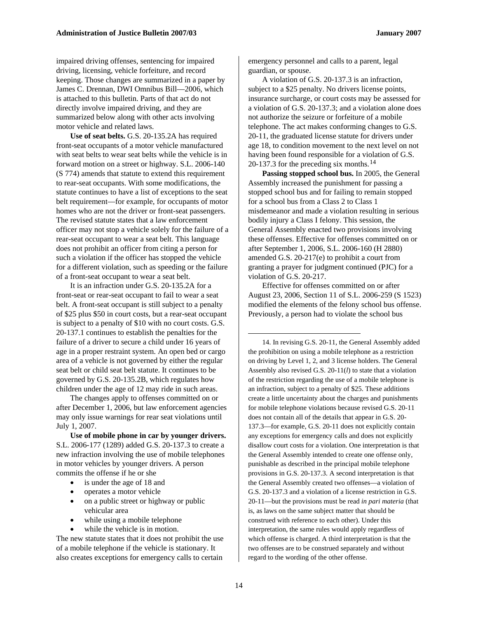impaired driving offenses, sentencing for impaired driving, licensing, vehicle forfeiture, and record keeping. Those changes are summarized in a paper by James C. Drennan, DWI Omnibus Bill—2006, which is attached to this bulletin. Parts of that act do not directly involve impaired driving, and they are summarized below along with other acts involving motor vehicle and related laws.

**Use of seat belts.** G.S. 20-135.2A has required front-seat occupants of a motor vehicle manufactured with seat belts to wear seat belts while the vehicle is in forward motion on a street or highway. S.L. 2006-140 (S 774) amends that statute to extend this requirement to rear-seat occupants. With some modifications, the statute continues to have a list of exceptions to the seat belt requirement—for example, for occupants of motor homes who are not the driver or front-seat passengers. The revised statute states that a law enforcement officer may not stop a vehicle solely for the failure of a rear-seat occupant to wear a seat belt. This language does not prohibit an officer from citing a person for such a violation if the officer has stopped the vehicle for a different violation, such as speeding or the failure of a front-seat occupant to wear a seat belt.

<span id="page-13-0"></span>It is an infraction under G.S. 20-135.2A for a front-seat or rear-seat occupant to fail to wear a seat belt. A front-seat occupant is still subject to a penalty of \$25 plus \$50 in court costs, but a rear-seat occupant is subject to a penalty of \$10 with no court costs. G.S. 20-137.1 continues to establish the penalties for the failure of a driver to secure a child under 16 years of age in a proper restraint system. An open bed or cargo area of a vehicle is not governed by either the regular seat belt or child seat belt statute. It continues to be governed by G.S. 20-135.2B, which regulates how children under the age of 12 may ride in such areas.

The changes apply to offenses committed on or after December 1, 2006, but law enforcement agencies may only issue warnings for rear seat violations until July 1, 2007.

**Use of mobile phone in car by younger drivers.**  S.L. 2006-177 (1289) added G.S. 20-137.3 to create a new infraction involving the use of mobile telephones in motor vehicles by younger drivers. A person commits the offense if he or she

- is under the age of 18 and
- operates a motor vehicle
- on a public street or highway or public vehicular area
- while using a mobile telephone
- while the vehicle is in motion.

The new statute states that it does not prohibit the use of a mobile telephone if the vehicle is stationary. It also creates exceptions for emergency calls to certain

emergency personnel and calls to a parent, legal guardian, or spouse.

A violation of G.S. 20-137.3 is an infraction, subject to a \$25 penalty. No drivers license points, insurance surcharge, or court costs may be assessed for a violation of G.S. 20-137.3; and a violation alone does not authorize the seizure or forfeiture of a mobile telephone. The act makes conforming changes to G.S. 20-11, the graduated license statute for drivers under age 18, to condition movement to the next level on not having been found responsible for a violation of G.S. 20-137.3 for the preceding six months.[14](#page-13-0)

**Passing stopped school bus.** In 2005, the General Assembly increased the punishment for passing a stopped school bus and for failing to remain stopped for a school bus from a Class 2 to Class 1 misdemeanor and made a violation resulting in serious bodily injury a Class I felony. This session, the General Assembly enacted two provisions involving these offenses. Effective for offenses committed on or after September 1, 2006, S.L. 2006-160 (H 2880) amended G.S. 20-217(e) to prohibit a court from granting a prayer for judgment continued (PJC) for a violation of G.S. 20-217.

Effective for offenses committed on or after August 23, 2006, Section 11 of S.L. 2006-259 (S 1523) modified the elements of the felony school bus offense. Previously, a person had to violate the school bus

14. In revising G.S. 20-11, the General Assembly added the prohibition on using a mobile telephone as a restriction on driving by Level 1, 2, and 3 license holders. The General Assembly also revised G.S. 20-11(*l*) to state that a violation of the restriction regarding the use of a mobile telephone is an infraction, subject to a penalty of \$25. These additions create a little uncertainty about the charges and punishments for mobile telephone violations because revised G.S. 20-11 does not contain all of the details that appear in G.S. 20- 137.3—for example, G.S. 20-11 does not explicitly contain any exceptions for emergency calls and does not explicitly disallow court costs for a violation. One interpretation is that the General Assembly intended to create one offense only, punishable as described in the principal mobile telephone provisions in G.S. 20-137.3. A second interpretation is that the General Assembly created two offenses—a violation of G.S. 20-137.3 and a violation of a license restriction in G.S. 20-11—but the provisions must be read *in pari materia* (that is, as laws on the same subject matter that should be construed with reference to each other). Under this interpretation, the same rules would apply regardless of which offense is charged. A third interpretation is that the two offenses are to be construed separately and without regard to the wording of the other offense.

 $\overline{a}$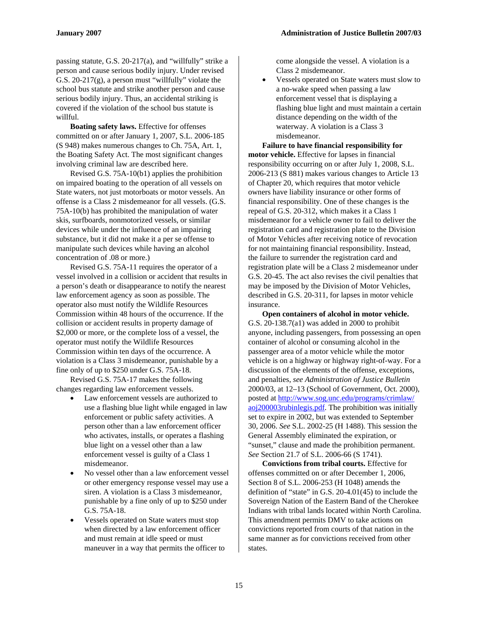passing statute, G.S. 20-217(a), and "willfully" strike a person and cause serious bodily injury. Under revised G.S.  $20-217(g)$ , a person must "willfully" violate the school bus statute and strike another person and cause serious bodily injury. Thus, an accidental striking is covered if the violation of the school bus statute is willful.

**Boating safety laws.** Effective for offenses committed on or after January 1, 2007, S.L. 2006-185 (S 948) makes numerous changes to Ch. 75A, Art. 1, the Boating Safety Act. The most significant changes involving criminal law are described here.

Revised G.S. 75A-10(b1) applies the prohibition on impaired boating to the operation of all vessels on State waters, not just motorboats or motor vessels. An offense is a Class 2 misdemeanor for all vessels. (G.S. 75A-10(b) has prohibited the manipulation of water skis, surfboards, nonmotorized vessels, or similar devices while under the influence of an impairing substance, but it did not make it a per se offense to manipulate such devices while having an alcohol concentration of .08 or more.)

Revised G.S. 75A-11 requires the operator of a vessel involved in a collision or accident that results in a person's death or disappearance to notify the nearest law enforcement agency as soon as possible. The operator also must notify the Wildlife Resources Commission within 48 hours of the occurrence. If the collision or accident results in property damage of \$2,000 or more, or the complete loss of a vessel, the operator must notify the Wildlife Resources Commission within ten days of the occurrence. A violation is a Class 3 misdemeanor, punishable by a fine only of up to \$250 under G.S. 75A-18.

Revised G.S. 75A-17 makes the following changes regarding law enforcement vessels.

- Law enforcement vessels are authorized to use a flashing blue light while engaged in law enforcement or public safety activities. A person other than a law enforcement officer who activates, installs, or operates a flashing blue light on a vessel other than a law enforcement vessel is guilty of a Class 1 misdemeanor.
- No vessel other than a law enforcement vessel or other emergency response vessel may use a siren. A violation is a Class 3 misdemeanor, punishable by a fine only of up to \$250 under G.S. 75A-18.
- Vessels operated on State waters must stop when directed by a law enforcement officer and must remain at idle speed or must maneuver in a way that permits the officer to

come alongside the vessel. A violation is a Class 2 misdemeanor.

• Vessels operated on State waters must slow to a no-wake speed when passing a law enforcement vessel that is displaying a flashing blue light and must maintain a certain distance depending on the width of the waterway. A violation is a Class 3 misdemeanor.

**Failure to have financial responsibility for motor vehicle.** Effective for lapses in financial responsibility occurring on or after July 1, 2008, S.L. 2006-213 (S 881) makes various changes to Article 13 of Chapter 20, which requires that motor vehicle owners have liability insurance or other forms of financial responsibility. One of these changes is the repeal of G.S. 20-312, which makes it a Class 1 misdemeanor for a vehicle owner to fail to deliver the registration card and registration plate to the Division of Motor Vehicles after receiving notice of revocation for not maintaining financial responsibility. Instead, the failure to surrender the registration card and registration plate will be a Class 2 misdemeanor under G.S. 20-45. The act also revises the civil penalties that may be imposed by the Division of Motor Vehicles, described in G.S. 20-311, for lapses in motor vehicle insurance.

**Open containers of alcohol in motor vehicle.**  G.S. 20-138.7(a1) was added in 2000 to prohibit anyone, including passengers, from possessing an open container of alcohol or consuming alcohol in the passenger area of a motor vehicle while the motor vehicle is on a highway or highway right-of-way. For a discussion of the elements of the offense, exceptions, and penalties, *see Administration of Justice Bulletin* 2000/03, at 12–13 (School of Government, Oct. 2000), posted at [http://www.sog.unc.edu/programs/crimlaw/](http://www.sog.unc.edu/programs/crimlaw/%0Baoj200003rubinlegis.pdf) [aoj200003rubinlegis.pdf](http://www.sog.unc.edu/programs/crimlaw/%0Baoj200003rubinlegis.pdf). The prohibition was initially set to expire in 2002, but was extended to September 30, 2006. *See* S.L. 2002-25 (H 1488). This session the General Assembly eliminated the expiration, or "sunset," clause and made the prohibition permanent. *See* Section 21.7 of S.L. 2006-66 (S 1741).

**Convictions from tribal courts.** Effective for offenses committed on or after December 1, 2006, Section 8 of S.L. 2006-253 (H 1048) amends the definition of "state" in G.S. 20-4.01(45) to include the Sovereign Nation of the Eastern Band of the Cherokee Indians with tribal lands located within North Carolina. This amendment permits DMV to take actions on convictions reported from courts of that nation in the same manner as for convictions received from other states.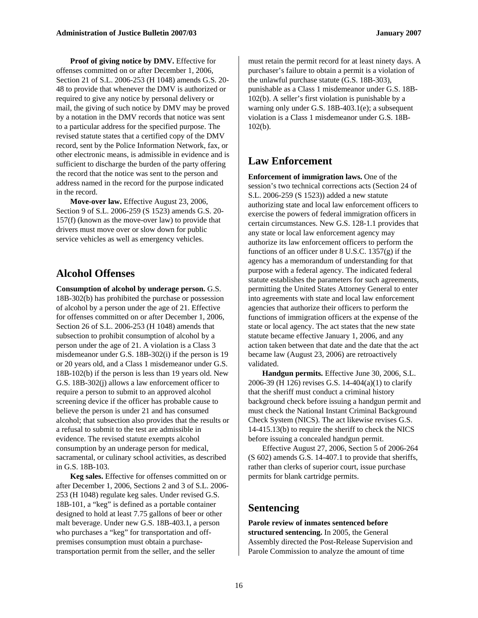**Proof of giving notice by DMV.** Effective for offenses committed on or after December 1, 2006, Section 21 of S.L. 2006-253 (H 1048) amends G.S. 20- 48 to provide that whenever the DMV is authorized or required to give any notice by personal delivery or mail, the giving of such notice by DMV may be proved by a notation in the DMV records that notice was sent to a particular address for the specified purpose. The revised statute states that a certified copy of the DMV record, sent by the Police Information Network, fax, or other electronic means, is admissible in evidence and is sufficient to discharge the burden of the party offering the record that the notice was sent to the person and address named in the record for the purpose indicated in the record.

**Move-over law.** Effective August 23, 2006, Section 9 of S.L. 2006-259 (S 1523) amends G.S. 20- 157(f) (known as the move-over law) to provide that drivers must move over or slow down for public service vehicles as well as emergency vehicles.

#### **Alcohol Offenses**

**Consumption of alcohol by underage person.** G.S. 18B-302(b) has prohibited the purchase or possession of alcohol by a person under the age of 21. Effective for offenses committed on or after December 1, 2006, Section 26 of S.L. 2006-253 (H 1048) amends that subsection to prohibit consumption of alcohol by a person under the age of 21. A violation is a Class 3 misdemeanor under G.S. 18B-302(i) if the person is 19 or 20 years old, and a Class 1 misdemeanor under G.S. 18B-102(b) if the person is less than 19 years old. New G.S. 18B-302(j) allows a law enforcement officer to require a person to submit to an approved alcohol screening device if the officer has probable cause to believe the person is under 21 and has consumed alcohol; that subsection also provides that the results or a refusal to submit to the test are admissible in evidence. The revised statute exempts alcohol consumption by an underage person for medical, sacramental, or culinary school activities, as described in G.S. 18B-103.

**Keg sales.** Effective for offenses committed on or after December 1, 2006, Sections 2 and 3 of S.L. 2006- 253 (H 1048) regulate keg sales. Under revised G.S. 18B-101, a "keg" is defined as a portable container designed to hold at least 7.75 gallons of beer or other malt beverage. Under new G.S. 18B-403.1, a person who purchases a "keg" for transportation and offpremises consumption must obtain a purchasetransportation permit from the seller, and the seller

must retain the permit record for at least ninety days. A purchaser's failure to obtain a permit is a violation of the unlawful purchase statute (G.S. 18B-303), punishable as a Class 1 misdemeanor under G.S. 18B-102(b). A seller's first violation is punishable by a warning only under G.S. 18B-403.1(e); a subsequent violation is a Class 1 misdemeanor under G.S. 18B-102(b).

#### **Law Enforcement**

**Enforcement of immigration laws.** One of the session's two technical corrections acts (Section 24 of S.L. 2006-259 (S 1523)) added a new statute authorizing state and local law enforcement officers to exercise the powers of federal immigration officers in certain circumstances. New G.S. 128-1.1 provides that any state or local law enforcement agency may authorize its law enforcement officers to perform the functions of an officer under  $8$  U.S.C. 1357 $(g)$  if the agency has a memorandum of understanding for that purpose with a federal agency. The indicated federal statute establishes the parameters for such agreements, permitting the United States Attorney General to enter into agreements with state and local law enforcement agencies that authorize their officers to perform the functions of immigration officers at the expense of the state or local agency. The act states that the new state statute became effective January 1, 2006, and any action taken between that date and the date that the act became law (August 23, 2006) are retroactively validated.

**Handgun permits.** Effective June 30, 2006, S.L. 2006-39 (H 126) revises G.S. 14-404(a)(1) to clarify that the sheriff must conduct a criminal history background check before issuing a handgun permit and must check the National Instant Criminal Background Check System (NICS). The act likewise revises G.S. 14-415.13(b) to require the sheriff to check the NICS before issuing a concealed handgun permit.

Effective August 27, 2006, Section 5 of 2006-264 (S 602) amends G.S. 14-407.1 to provide that sheriffs, rather than clerks of superior court, issue purchase permits for blank cartridge permits.

#### **Sentencing**

**Parole review of inmates sentenced before structured sentencing.** In 2005, the General Assembly directed the Post-Release Supervision and Parole Commission to analyze the amount of time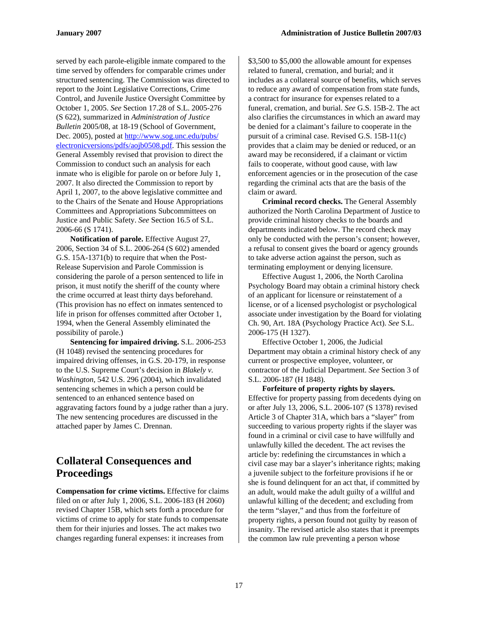served by each parole-eligible inmate compared to the time served by offenders for comparable crimes under structured sentencing. The Commission was directed to report to the Joint Legislative Corrections, Crime Control, and Juvenile Justice Oversight Committee by October 1, 2005. *See* Section 17.28 of S.L. 2005-276 (S 622), summarized in *Administration of Justice Bulletin* 2005/08, at 18-19 (School of Government, Dec. 2005), posted at [http://www.sog.unc.edu/pubs/](http://www.sog.unc.edu/pubs/electronicversions/pdfs/aojb0508.pdf) [electronicversions/pdfs/aojb0508.pdf.](http://www.sog.unc.edu/pubs/electronicversions/pdfs/aojb0508.pdf) This session the General Assembly revised that provision to direct the Commission to conduct such an analysis for each inmate who is eligible for parole on or before July 1, 2007. It also directed the Commission to report by April 1, 2007, to the above legislative committee and to the Chairs of the Senate and House Appropriations Committees and Appropriations Subcommittees on Justice and Public Safety. *See* Section 16.5 of S.L. 2006-66 (S 1741).

**Notification of parole.** Effective August 27, 2006, Section 34 of S.L. 2006-264 (S 602) amended G.S. 15A-1371(b) to require that when the Post-Release Supervision and Parole Commission is considering the parole of a person sentenced to life in prison, it must notify the sheriff of the county where the crime occurred at least thirty days beforehand. (This provision has no effect on inmates sentenced to life in prison for offenses committed after October 1, 1994, when the General Assembly eliminated the possibility of parole.)

**Sentencing for impaired driving.** S.L. 2006-253 (H 1048) revised the sentencing procedures for impaired driving offenses, in G.S. 20-179, in response to the U.S. Supreme Court's decision in *Blakely v. Washington,* 542 U.S. 296 (2004), which invalidated sentencing schemes in which a person could be sentenced to an enhanced sentence based on aggravating factors found by a judge rather than a jury. The new sentencing procedures are discussed in the attached paper by James C. Drennan.

# **Collateral Consequences and Proceedings**

**Compensation for crime victims.** Effective for claims filed on or after July 1, 2006, S.L. 2006-183 (H 2060) revised Chapter 15B, which sets forth a procedure for victims of crime to apply for state funds to compensate them for their injuries and losses. The act makes two changes regarding funeral expenses: it increases from

\$3,500 to \$5,000 the allowable amount for expenses related to funeral, cremation, and burial; and it includes as a collateral source of benefits, which serves to reduce any award of compensation from state funds, a contract for insurance for expenses related to a funeral, cremation, and burial. *See* G.S. 15B-2. The act also clarifies the circumstances in which an award may be denied for a claimant's failure to cooperate in the pursuit of a criminal case. Revised G.S. 15B-11(c) provides that a claim may be denied or reduced, or an award may be reconsidered, if a claimant or victim fails to cooperate, without good cause, with law enforcement agencies or in the prosecution of the case regarding the criminal acts that are the basis of the claim or award.

**Criminal record checks.** The General Assembly authorized the North Carolina Department of Justice to provide criminal history checks to the boards and departments indicated below. The record check may only be conducted with the person's consent; however, a refusal to consent gives the board or agency grounds to take adverse action against the person, such as terminating employment or denying licensure.

Effective August 1, 2006, the North Carolina Psychology Board may obtain a criminal history check of an applicant for licensure or reinstatement of a license, or of a licensed psychologist or psychological associate under investigation by the Board for violating Ch. 90, Art. 18A (Psychology Practice Act). *See* S.L. 2006-175 (H 1327).

Effective October 1, 2006, the Judicial Department may obtain a criminal history check of any current or prospective employee, volunteer, or contractor of the Judicial Department. *See* Section 3 of S.L. 2006-187 (H 1848).

**Forfeiture of property rights by slayers.**  Effective for property passing from decedents dying on or after July 13, 2006, S.L. 2006-107 (S 1378) revised Article 3 of Chapter 31A, which bars a "slayer" from succeeding to various property rights if the slayer was found in a criminal or civil case to have willfully and unlawfully killed the decedent. The act revises the article by: redefining the circumstances in which a civil case may bar a slayer's inheritance rights; making a juvenile subject to the forfeiture provisions if he or she is found delinquent for an act that, if committed by an adult, would make the adult guilty of a willful and unlawful killing of the decedent; and excluding from the term "slayer," and thus from the forfeiture of property rights, a person found not guilty by reason of insanity. The revised article also states that it preempts the common law rule preventing a person whose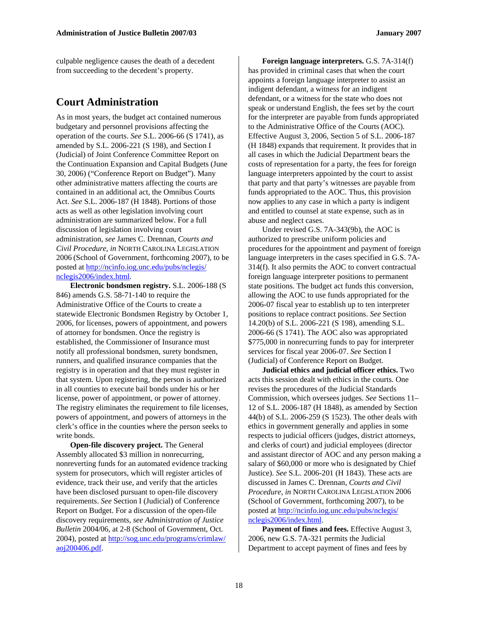culpable negligence causes the death of a decedent from succeeding to the decedent's property.

#### **Court Administration**

As in most years, the budget act contained numerous budgetary and personnel provisions affecting the operation of the courts. *See* S.L. 2006-66 (S 1741), as amended by S.L. 2006-221 (S 198), and Section I (Judicial) of Joint Conference Committee Report on the Continuation Expansion and Capital Budgets (June 30, 2006) ("Conference Report on Budget"). Many other administrative matters affecting the courts are contained in an additional act, the Omnibus Courts Act. *See* S.L. 2006-187 (H 1848). Portions of those acts as well as other legislation involving court administration are summarized below. For a full discussion of legislation involving court administration, *see* James C. Drennan, *Courts and Civil Procedure, in* NORTH CAROLINA LEGISLATION 2006 (School of Government, forthcoming 2007), to be posted at [http://ncinfo.iog.unc.edu/pubs/nclegis/](http://ncinfo.iog.unc.edu/pubs/nclegis/%0Bnclegis2006/index.html) [nclegis2006/index.html](http://ncinfo.iog.unc.edu/pubs/nclegis/%0Bnclegis2006/index.html).

**Electronic bondsmen registry.** S.L. 2006-188 (S 846) amends G.S. 58-71-140 to require the Administrative Office of the Courts to create a statewide Electronic Bondsmen Registry by October 1, 2006, for licenses, powers of appointment, and powers of attorney for bondsmen. Once the registry is established, the Commissioner of Insurance must notify all professional bondsmen, surety bondsmen, runners, and qualified insurance companies that the registry is in operation and that they must register in that system. Upon registering, the person is authorized in all counties to execute bail bonds under his or her license, power of appointment, or power of attorney. The registry eliminates the requirement to file licenses, powers of appointment, and powers of attorneys in the clerk's office in the counties where the person seeks to write bonds.

**Open-file discovery project.** The General Assembly allocated \$3 million in nonrecurring, nonreverting funds for an automated evidence tracking system for prosecutors, which will register articles of evidence, track their use, and verify that the articles have been disclosed pursuant to open-file discovery requirements. *See* Section I (Judicial) of Conference Report on Budget. For a discussion of the open-file discovery requirements, *see Administration of Justice Bulletin* 2004/06, at 2-8 (School of Government, Oct. 2004), posted at [http://sog.unc.edu/programs/crimlaw/](http://sog.unc.edu/programs/crimlaw/%0Baoj200406.pdf) [aoj200406.pdf](http://sog.unc.edu/programs/crimlaw/%0Baoj200406.pdf).

**Foreign language interpreters.** G.S. 7A-314(f) has provided in criminal cases that when the court appoints a foreign language interpreter to assist an indigent defendant, a witness for an indigent defendant, or a witness for the state who does not speak or understand English, the fees set by the court for the interpreter are payable from funds appropriated to the Administrative Office of the Courts (AOC). Effective August 3, 2006, Section 5 of S.L. 2006-187 (H 1848) expands that requirement. It provides that in all cases in which the Judicial Department bears the costs of representation for a party, the fees for foreign language interpreters appointed by the court to assist that party and that party's witnesses are payable from funds appropriated to the AOC. Thus, this provision now applies to any case in which a party is indigent and entitled to counsel at state expense, such as in abuse and neglect cases.

Under revised G.S. 7A-343(9b), the AOC is authorized to prescribe uniform policies and procedures for the appointment and payment of foreign language interpreters in the cases specified in G.S. 7A-314(f). It also permits the AOC to convert contractual foreign language interpreter positions to permanent state positions. The budget act funds this conversion, allowing the AOC to use funds appropriated for the 2006-07 fiscal year to establish up to ten interpreter positions to replace contract positions. *See* Section 14.20(b) of S.L. 2006-221 (S 198), amending S.L. 2006-66 (S 1741). The AOC also was appropriated \$775,000 in nonrecurring funds to pay for interpreter services for fiscal year 2006-07. *See* Section I (Judicial) of Conference Report on Budget.

**Judicial ethics and judicial officer ethics.** Two acts this session dealt with ethics in the courts. One revises the procedures of the Judicial Standards Commission, which oversees judges. *See* Sections 11– 12 of S.L. 2006-187 (H 1848), as amended by Section 44(b) of S.L. 2006-259 (S 1523). The other deals with ethics in government generally and applies in some respects to judicial officers (judges, district attorneys, and clerks of court) and judicial employees (director and assistant director of AOC and any person making a salary of \$60,000 or more who is designated by Chief Justice). *See* S.L. 2006-201 (H 1843). These acts are discussed in James C. Drennan, *Courts and Civil Procedure, in* NORTH CAROLINA LEGISLATION 2006 (School of Government, forthcoming 2007), to be posted at [http://ncinfo.iog.unc.edu/pubs/nclegis/](http://ncinfo.iog.unc.edu/pubs/nclegis/%0Bnclegis2006/index.html) [nclegis2006/index.html](http://ncinfo.iog.unc.edu/pubs/nclegis/%0Bnclegis2006/index.html).

Payment of fines and fees. Effective August 3, 2006, new G.S. 7A-321 permits the Judicial Department to accept payment of fines and fees by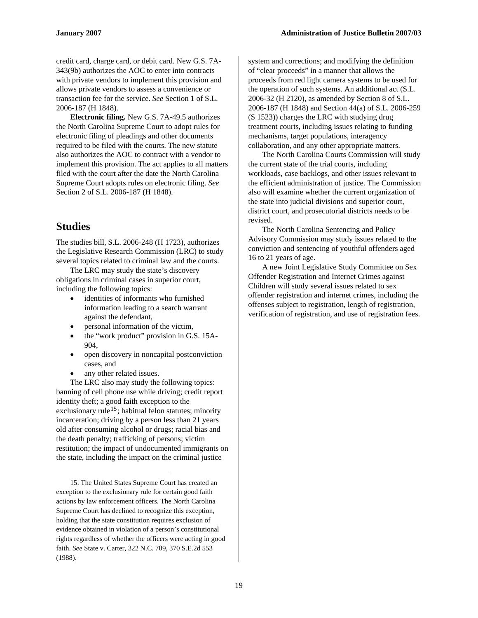credit card, charge card, or debit card. New G.S. 7A-343(9b) authorizes the AOC to enter into contracts with private vendors to implement this provision and allows private vendors to assess a convenience or transaction fee for the service. *See* Section 1 of S.L. 2006-187 (H 1848).

**Electronic filing.** New G.S. 7A-49.5 authorizes the North Carolina Supreme Court to adopt rules for electronic filing of pleadings and other documents required to be filed with the courts. The new statute also authorizes the AOC to contract with a vendor to implement this provision. The act applies to all matters filed with the court after the date the North Carolina Supreme Court adopts rules on electronic filing. *See*  Section 2 of S.L. 2006-187 (H 1848).

1

The studies bill, S.L. 2006-248 (H 1723), authorizes the Legislative Research Commission (LRC) to study several topics related to criminal law and the courts.

The LRC may study the state's discovery obligations in criminal cases in superior court, including the following topics:

- identities of informants who furnished information leading to a search warrant against the defendant,
- personal information of the victim,
- the "work product" provision in G.S. 15A-904,
- open discovery in noncapital postconviction cases, and
- any other related issues.

The LRC also may study the following topics: banning of cell phone use while driving; credit report identity theft; a good faith exception to the exclusionary rule<sup>[15](#page-18-0)</sup>; habitual felon statutes; minority incarceration; driving by a person less than 21 years old after consuming alcohol or drugs; racial bias and the death penalty; trafficking of persons; victim restitution; the impact of undocumented immigrants on the state, including the impact on the criminal justice

system and corrections; and modifying the definition of "clear proceeds" in a manner that allows the proceeds from red light camera systems to be used for the operation of such systems. An additional act (S.L. 2006-32 (H 2120), as amended by Section 8 of S.L. 2006-187 (H 1848) and Section 44(a) of S.L. 2006-259 (S 1523)) charges the LRC with studying drug treatment courts, including issues relating to funding mechanisms, target populations, interagency collaboration, and any other appropriate matters.

The North Carolina Courts Commission will study the current state of the trial courts, including workloads, case backlogs, and other issues relevant to the efficient administration of justice. The Commission also will examine whether the current organization of the state into judicial divisions and superior court, district court, and prosecutorial districts needs to be **Studies Studies The North Carolina Sentencing and Policy** 

Advisory Commission may study issues related to the conviction and sentencing of youthful offenders aged 16 to 21 years of age.

A new Joint Legislative Study Committee on Sex Offender Registration and Internet Crimes against Children will study several issues related to sex offender registration and internet crimes, including the offenses subject to registration, length of registration, verification of registration, and use of registration fees.

<span id="page-18-0"></span><sup>15.</sup> The United States Supreme Court has created an exception to the exclusionary rule for certain good faith actions by law enforcement officers. The North Carolina Supreme Court has declined to recognize this exception, holding that the state constitution requires exclusion of evidence obtained in violation of a person's constitutional rights regardless of whether the officers were acting in good faith. *See* State v. Carter, 322 N.C. 709, 370 S.E.2d 553 (1988).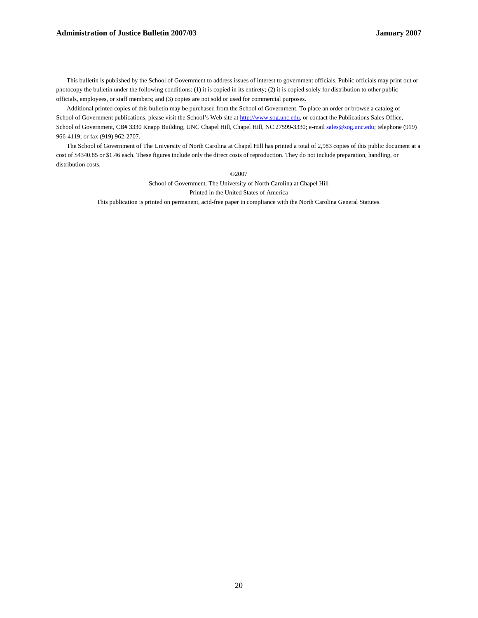#### **Administration of Justice Bulletin 2007/03 January 2007**

This bulletin is published by the School of Government to address issues of interest to government officials. Public officials may print out or photocopy the bulletin under the following conditions: (1) it is copied in its entirety; (2) it is copied solely for distribution to other public officials, employees, or staff members; and (3) copies are not sold or used for commercial purposes.

Additional printed copies of this bulletin may be purchased from the School of Government. To place an order or browse a catalog of School of Government publications, please visit the School's Web site at [http://www.sog.unc.edu](http://www.sog.unc.edu/), or contact the Publications Sales Office, School of Government, CB# 3330 Knapp Building, UNC Chapel Hill, Chapel Hill, NC 27599-3330; e-mail [sales@sog.unc.edu](mailto:sales@sog.unc.edu); telephone (919) 966-4119; or fax (919) 962-2707.

The School of Government of The University of North Carolina at Chapel Hill has printed a total of 2,983 copies of this public document at a cost of \$4340.85 or \$1.46 each. These figures include only the direct costs of reproduction. They do not include preparation, handling, or distribution costs.

©2007

School of Government. The University of North Carolina at Chapel Hill Printed in the United States of America

This publication is printed on permanent, acid-free paper in compliance with the North Carolina General Statutes.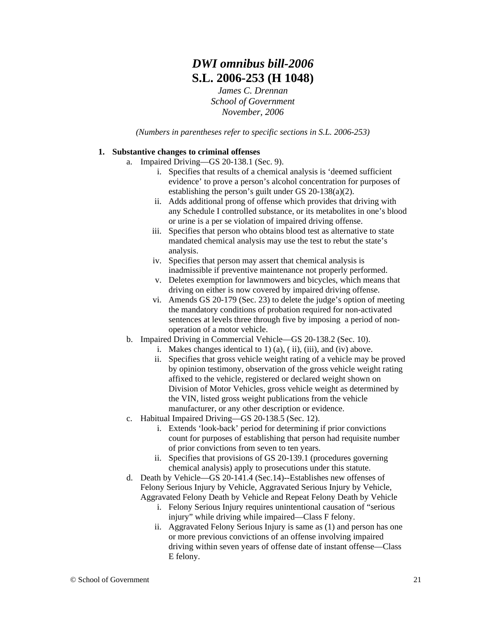# *DWI omnibus bill-2006* **S.L. 2006-253 (H 1048)**

*James C. Drennan School of Government November, 2006* 

*(Numbers in parentheses refer to specific sections in S.L. 2006-253)* 

#### **1. Substantive changes to criminal offenses**

- a. Impaired Driving—GS 20-138.1 (Sec. 9).
	- i. Specifies that results of a chemical analysis is 'deemed sufficient evidence' to prove a person's alcohol concentration for purposes of establishing the person's guilt under GS 20-138(a)(2).
	- ii. Adds additional prong of offense which provides that driving with any Schedule I controlled substance, or its metabolites in one's blood or urine is a per se violation of impaired driving offense.
	- iii. Specifies that person who obtains blood test as alternative to state mandated chemical analysis may use the test to rebut the state's analysis.
	- iv. Specifies that person may assert that chemical analysis is inadmissible if preventive maintenance not properly performed.
	- v. Deletes exemption for lawnmowers and bicycles, which means that driving on either is now covered by impaired driving offense.
	- vi. Amends GS 20-179 (Sec. 23) to delete the judge's option of meeting the mandatory conditions of probation required for non-activated sentences at levels three through five by imposing a period of nonoperation of a motor vehicle.
- b. Impaired Driving in Commercial Vehicle—GS 20-138.2 (Sec. 10).
	- i. Makes changes identical to 1) (a), ( ii), (iii), and (iv) above.
	- ii. Specifies that gross vehicle weight rating of a vehicle may be proved by opinion testimony, observation of the gross vehicle weight rating affixed to the vehicle, registered or declared weight shown on Division of Motor Vehicles, gross vehicle weight as determined by the VIN, listed gross weight publications from the vehicle manufacturer, or any other description or evidence.
- c. Habitual Impaired Driving—GS 20-138.5 (Sec. 12).
	- i. Extends 'look-back' period for determining if prior convictions count for purposes of establishing that person had requisite number of prior convictions from seven to ten years.
	- ii. Specifies that provisions of GS 20-139.1 (procedures governing chemical analysis) apply to prosecutions under this statute.
- d. Death by Vehicle—GS 20-141.4 (Sec.14)--Establishes new offenses of Felony Serious Injury by Vehicle, Aggravated Serious Injury by Vehicle, Aggravated Felony Death by Vehicle and Repeat Felony Death by Vehicle
	- i. Felony Serious Injury requires unintentional causation of "serious injury" while driving while impaired—Class F felony.
	- ii. Aggravated Felony Serious Injury is same as (1) and person has one or more previous convictions of an offense involving impaired driving within seven years of offense date of instant offense—Class E felony.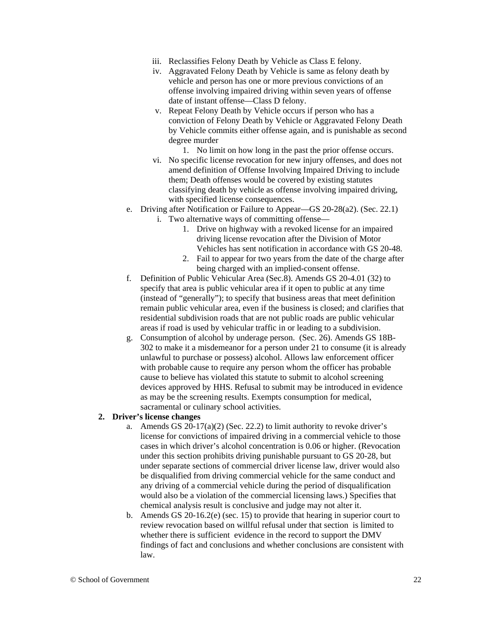- iii. Reclassifies Felony Death by Vehicle as Class E felony.
- iv. Aggravated Felony Death by Vehicle is same as felony death by vehicle and person has one or more previous convictions of an offense involving impaired driving within seven years of offense date of instant offense—Class D felony.
- v. Repeat Felony Death by Vehicle occurs if person who has a conviction of Felony Death by Vehicle or Aggravated Felony Death by Vehicle commits either offense again, and is punishable as second degree murder
	- 1. No limit on how long in the past the prior offense occurs.
- vi. No specific license revocation for new injury offenses, and does not amend definition of Offense Involving Impaired Driving to include them; Death offenses would be covered by existing statutes classifying death by vehicle as offense involving impaired driving, with specified license consequences.
- e. Driving after Notification or Failure to Appear—GS 20-28(a2). (Sec. 22.1) i. Two alternative ways of committing offense—
	- 1. Drive on highway with a revoked license for an impaired driving license revocation after the Division of Motor Vehicles has sent notification in accordance with GS 20-48.
	- 2. Fail to appear for two years from the date of the charge after being charged with an implied-consent offense.
- f. Definition of Public Vehicular Area (Sec.8). Amends GS 20-4.01 (32) to specify that area is public vehicular area if it open to public at any time (instead of "generally"); to specify that business areas that meet definition remain public vehicular area, even if the business is closed; and clarifies that residential subdivision roads that are not public roads are public vehicular areas if road is used by vehicular traffic in or leading to a subdivision.
- g. Consumption of alcohol by underage person. (Sec. 26). Amends GS 18B-302 to make it a misdemeanor for a person under 21 to consume (it is already unlawful to purchase or possess) alcohol. Allows law enforcement officer with probable cause to require any person whom the officer has probable cause to believe has violated this statute to submit to alcohol screening devices approved by HHS. Refusal to submit may be introduced in evidence as may be the screening results. Exempts consumption for medical, sacramental or culinary school activities.

#### **2. Driver's license changes**

- a. Amends GS  $20-17(a)(2)$  (Sec. 22.2) to limit authority to revoke driver's license for convictions of impaired driving in a commercial vehicle to those cases in which driver's alcohol concentration is 0.06 or higher. (Revocation under this section prohibits driving punishable pursuant to GS 20-28, but under separate sections of commercial driver license law, driver would also be disqualified from driving commercial vehicle for the same conduct and any driving of a commercial vehicle during the period of disqualification would also be a violation of the commercial licensing laws.) Specifies that chemical analysis result is conclusive and judge may not alter it.
- b. Amends GS 20-16.2(e) (sec. 15) to provide that hearing in superior court to review revocation based on willful refusal under that section is limited to whether there is sufficient evidence in the record to support the DMV findings of fact and conclusions and whether conclusions are consistent with law.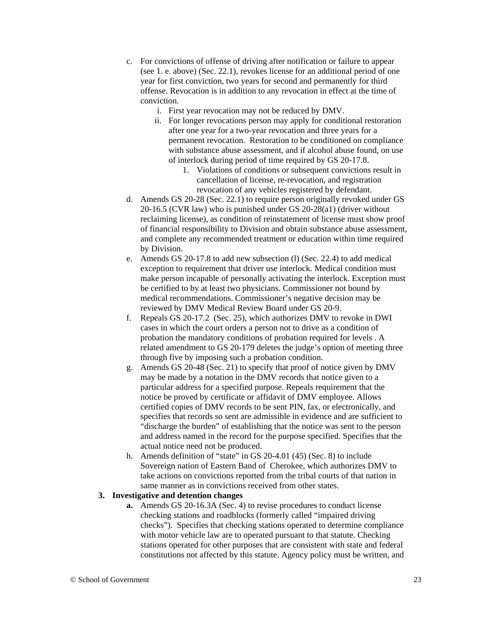- c. For convictions of offense of driving after notification or failure to appear (see 1. e. above) (Sec. 22.1), revokes license for an additional period of one year for first conviction, two years for second and permanently for third offense. Revocation is in addition to any revocation in effect at the time of conviction.
	- i. First year revocation may not be reduced by DMV.
	- ii. For longer revocations person may apply for conditional restoration after one year for a two-year revocation and three years for a permanent revocation. Restoration to be conditioned on compliance with substance abuse assessment, and if alcohol abuse found, on use of interlock during period of time required by GS 20-17.8.
		- 1. Violations of conditions or subsequent convictions result in cancellation of license, re-revocation, and registration revocation of any vehicles registered by defendant.
- d. Amends GS 20-28 (Sec. 22.1) to require person originally revoked under GS 20-16.5 (CVR law) who is punished under GS 20-28(a1) (driver without reclaiming license), as condition of reinstatement of license must show proof of financial responsibility to Division and obtain substance abuse assessment, and complete any recommended treatment or education within time required by Division.
- e. Amends GS 20-17.8 to add new subsection (l) (Sec. 22.4) to add medical exception to requirement that driver use interlock. Medical condition must make person incapable of personally activating the interlock. Exception must be certified to by at least two physicians. Commissioner not bound by medical recommendations. Commissioner's negative decision may be reviewed by DMV Medical Review Board under GS 20-9.
- f. Repeals GS 20-17.2 (Sec. 25), which authorizes DMV to revoke in DWI cases in which the court orders a person not to drive as a condition of probation the mandatory conditions of probation required for levels . A related amendment to GS 20-179 deletes the judge's option of meeting three through five by imposing such a probation condition.
- g. Amends GS 20-48 (Sec. 21) to specify that proof of notice given by DMV may be made by a notation in the DMV records that notice given to a particular address for a specified purpose. Repeals requirement that the notice be proved by certificate or affidavit of DMV employee. Allows certified copies of DMV records to be sent PIN, fax, or electronically, and specifies that records so sent are admissible in evidence and are sufficient to "discharge the burden" of establishing that the notice was sent to the person and address named in the record for the purpose specified. Specifies that the actual notice need not be produced.
- h. Amends definition of "state" in GS 20-4.01 (45) (Sec. 8) to include Sovereign nation of Eastern Band of Cherokee, which authorizes DMV to take actions on convictions reported from the tribal courts of that nation in same manner as in convictions received from other states.

#### **3. Investigative and detention changes**

**a.** Amends GS 20-16.3A (Sec. 4) to revise procedures to conduct license checking stations and roadblocks (formerly called "impaired driving checks"). Specifies that checking stations operated to determine compliance with motor vehicle law are to operated pursuant to that statute. Checking stations operated for other purposes that are consistent with state and federal constitutions not affected by this statute. Agency policy must be written, and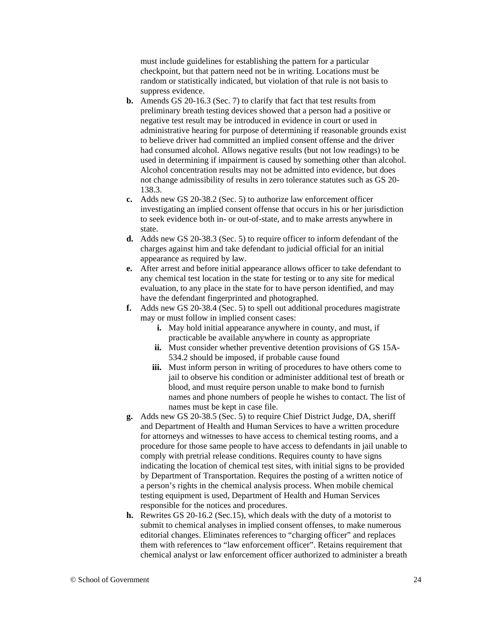must include guidelines for establishing the pattern for a particular checkpoint, but that pattern need not be in writing. Locations must be random or statistically indicated, but violation of that rule is not basis to suppress evidence.

- **b.** Amends GS 20-16.3 (Sec. 7) to clarify that fact that test results from preliminary breath testing devices showed that a person had a positive or negative test result may be introduced in evidence in court or used in administrative hearing for purpose of determining if reasonable grounds exist to believe driver had committed an implied consent offense and the driver had consumed alcohol. Allows negative results (but not low readings) to be used in determining if impairment is caused by something other than alcohol. Alcohol concentration results may not be admitted into evidence, but does not change admissibility of results in zero tolerance statutes such as GS 20- 138.3.
- **c.** Adds new GS 20-38.2 (Sec. 5) to authorize law enforcement officer investigating an implied consent offense that occurs in his or her jurisdiction to seek evidence both in- or out-of-state, and to make arrests anywhere in state.
- **d.** Adds new GS 20-38.3 (Sec. 5) to require officer to inform defendant of the charges against him and take defendant to judicial official for an initial appearance as required by law.
- **e.** After arrest and before initial appearance allows officer to take defendant to any chemical test location in the state for testing or to any site for medical evaluation, to any place in the state for to have person identified, and may have the defendant fingerprinted and photographed.
- **f.** Adds new GS 20-38.4 (Sec. 5) to spell out additional procedures magistrate may or must follow in implied consent cases:
	- **i.** May hold initial appearance anywhere in county, and must, if practicable be available anywhere in county as appropriate
	- **ii.** Must consider whether preventive detention provisions of GS 15A-534.2 should be imposed, if probable cause found
	- **iii.** Must inform person in writing of procedures to have others come to jail to observe his condition or administer additional test of breath or blood, and must require person unable to make bond to furnish names and phone numbers of people he wishes to contact. The list of names must be kept in case file.
- **g.** Adds new GS 20-38.5 (Sec. 5) to require Chief District Judge, DA, sheriff and Department of Health and Human Services to have a written procedure for attorneys and witnesses to have access to chemical testing rooms, and a procedure for those same people to have access to defendants in jail unable to comply with pretrial release conditions. Requires county to have signs indicating the location of chemical test sites, with initial signs to be provided by Department of Transportation. Requires the posting of a written notice of a person's rights in the chemical analysis process. When mobile chemical testing equipment is used, Department of Health and Human Services responsible for the notices and procedures.
- **h.** Rewrites GS 20-16.2 (Sec.15), which deals with the duty of a motorist to submit to chemical analyses in implied consent offenses, to make numerous editorial changes. Eliminates references to "charging officer" and replaces them with references to "law enforcement officer". Retains requirement that chemical analyst or law enforcement officer authorized to administer a breath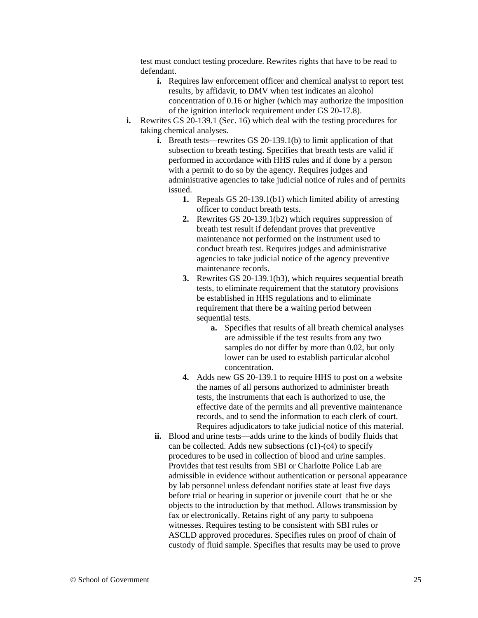test must conduct testing procedure. Rewrites rights that have to be read to defendant.

- **i.** Requires law enforcement officer and chemical analyst to report test results, by affidavit, to DMV when test indicates an alcohol concentration of 0.16 or higher (which may authorize the imposition of the ignition interlock requirement under GS 20-17.8).
- **i.** Rewrites GS 20-139.1 (Sec. 16) which deal with the testing procedures for taking chemical analyses.
	- **i.** Breath tests—rewrites GS 20-139.1(b) to limit application of that subsection to breath testing. Specifies that breath tests are valid if performed in accordance with HHS rules and if done by a person with a permit to do so by the agency. Requires judges and administrative agencies to take judicial notice of rules and of permits issued.
		- **1.** Repeals GS 20-139.1(b1) which limited ability of arresting officer to conduct breath tests.
		- **2.** Rewrites GS 20-139.1(b2) which requires suppression of breath test result if defendant proves that preventive maintenance not performed on the instrument used to conduct breath test. Requires judges and administrative agencies to take judicial notice of the agency preventive maintenance records.
		- **3.** Rewrites GS 20-139.1(b3), which requires sequential breath tests, to eliminate requirement that the statutory provisions be established in HHS regulations and to eliminate requirement that there be a waiting period between sequential tests.
			- **a.** Specifies that results of all breath chemical analyses are admissible if the test results from any two samples do not differ by more than 0.02, but only lower can be used to establish particular alcohol concentration.
		- **4.** Adds new GS 20-139.1 to require HHS to post on a website the names of all persons authorized to administer breath tests, the instruments that each is authorized to use, the effective date of the permits and all preventive maintenance records, and to send the information to each clerk of court. Requires adjudicators to take judicial notice of this material.
	- **ii.** Blood and urine tests—adds urine to the kinds of bodily fluids that can be collected. Adds new subsections (c1)-(c4) to specify procedures to be used in collection of blood and urine samples. Provides that test results from SBI or Charlotte Police Lab are admissible in evidence without authentication or personal appearance by lab personnel unless defendant notifies state at least five days before trial or hearing in superior or juvenile court that he or she objects to the introduction by that method. Allows transmission by fax or electronically. Retains right of any party to subpoena witnesses. Requires testing to be consistent with SBI rules or ASCLD approved procedures. Specifies rules on proof of chain of custody of fluid sample. Specifies that results may be used to prove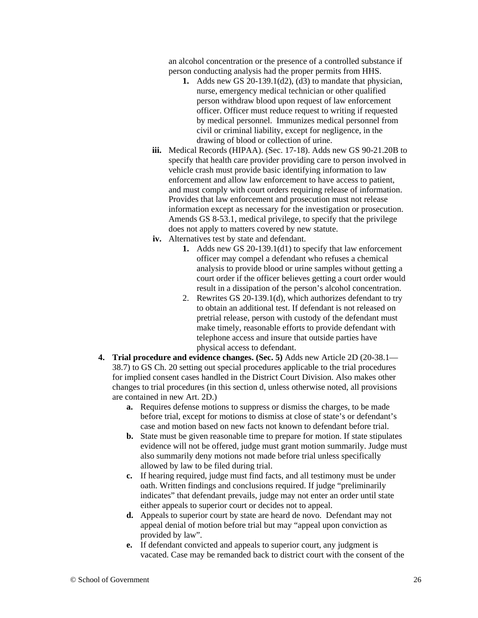an alcohol concentration or the presence of a controlled substance if person conducting analysis had the proper permits from HHS.

- **1.** Adds new GS 20-139.1(d2), (d3) to mandate that physician, nurse, emergency medical technician or other qualified person withdraw blood upon request of law enforcement officer. Officer must reduce request to writing if requested by medical personnel. Immunizes medical personnel from civil or criminal liability, except for negligence, in the drawing of blood or collection of urine.
- **iii.** Medical Records (HIPAA). (Sec. 17-18). Adds new GS 90-21.20B to specify that health care provider providing care to person involved in vehicle crash must provide basic identifying information to law enforcement and allow law enforcement to have access to patient, and must comply with court orders requiring release of information. Provides that law enforcement and prosecution must not release information except as necessary for the investigation or prosecution. Amends GS 8-53.1, medical privilege, to specify that the privilege does not apply to matters covered by new statute.
- **iv.** Alternatives test by state and defendant.
	- **1.** Adds new GS 20-139.1(d1) to specify that law enforcement officer may compel a defendant who refuses a chemical analysis to provide blood or urine samples without getting a court order if the officer believes getting a court order would result in a dissipation of the person's alcohol concentration.
	- 2. Rewrites GS 20-139.1(d), which authorizes defendant to try to obtain an additional test. If defendant is not released on pretrial release, person with custody of the defendant must make timely, reasonable efforts to provide defendant with telephone access and insure that outside parties have physical access to defendant.
- **4. Trial procedure and evidence changes. (Sec. 5)** Adds new Article 2D (20-38.1— 38.7) to GS Ch. 20 setting out special procedures applicable to the trial procedures for implied consent cases handled in the District Court Division. Also makes other changes to trial procedures (in this section d, unless otherwise noted, all provisions are contained in new Art. 2D.)
	- **a.** Requires defense motions to suppress or dismiss the charges, to be made before trial, except for motions to dismiss at close of state's or defendant's case and motion based on new facts not known to defendant before trial.
	- **b.** State must be given reasonable time to prepare for motion. If state stipulates evidence will not be offered, judge must grant motion summarily. Judge must also summarily deny motions not made before trial unless specifically allowed by law to be filed during trial.
	- **c.** If hearing required, judge must find facts, and all testimony must be under oath. Written findings and conclusions required. If judge "preliminarily indicates" that defendant prevails, judge may not enter an order until state either appeals to superior court or decides not to appeal.
	- **d.** Appeals to superior court by state are heard de novo. Defendant may not appeal denial of motion before trial but may "appeal upon conviction as provided by law".
	- **e.** If defendant convicted and appeals to superior court, any judgment is vacated. Case may be remanded back to district court with the consent of the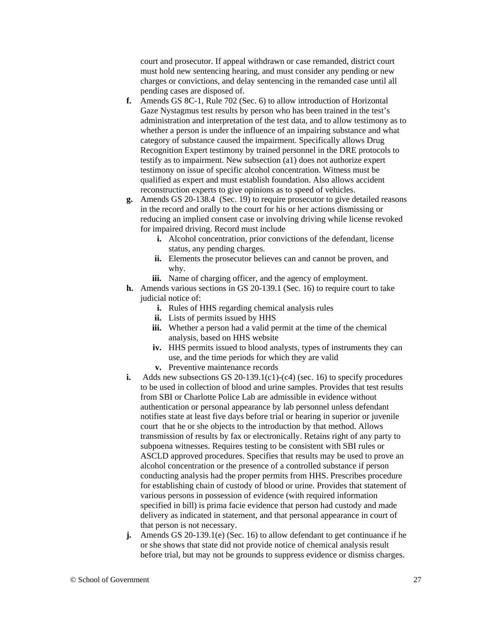court and prosecutor. If appeal withdrawn or case remanded, district court must hold new sentencing hearing, and must consider any pending or new charges or convictions, and delay sentencing in the remanded case until all pending cases are disposed of.

- **f.** Amends GS 8C-1, Rule 702 (Sec. 6) to allow introduction of Horizontal Gaze Nystagmus test results by person who has been trained in the test's administration and interpretation of the test data, and to allow testimony as to whether a person is under the influence of an impairing substance and what category of substance caused the impairment. Specifically allows Drug Recognition Expert testimony by trained personnel in the DRE protocols to testify as to impairment. New subsection (a1) does not authorize expert testimony on issue of specific alcohol concentration. Witness must be qualified as expert and must establish foundation. Also allows accident reconstruction experts to give opinions as to speed of vehicles.
- **g.** Amends GS 20-138.4 (Sec. 19) to require prosecutor to give detailed reasons in the record and orally to the court for his or her actions dismissing or reducing an implied consent case or involving driving while license revoked for impaired driving. Record must include
	- **i.** Alcohol concentration, prior convictions of the defendant, license status, any pending charges.
	- **ii.** Elements the prosecutor believes can and cannot be proven, and why.
	- **iii.** Name of charging officer, and the agency of employment.
- **h.** Amends various sections in GS 20-139.1 (Sec. 16) to require court to take judicial notice of:
	- **i.** Rules of HHS regarding chemical analysis rules
	- **ii.** Lists of permits issued by HHS
	- **iii.** Whether a person had a valid permit at the time of the chemical analysis, based on HHS website
	- **iv.** HHS permits issued to blood analysts, types of instruments they can use, and the time periods for which they are valid
	- **v.** Preventive maintenance records
- **i.** Adds new subsections GS 20-139.1(c1)-(c4) (sec. 16) to specify procedures to be used in collection of blood and urine samples. Provides that test results from SBI or Charlotte Police Lab are admissible in evidence without authentication or personal appearance by lab personnel unless defendant notifies state at least five days before trial or hearing in superior or juvenile court that he or she objects to the introduction by that method. Allows transmission of results by fax or electronically. Retains right of any party to subpoena witnesses. Requires testing to be consistent with SBI rules or ASCLD approved procedures. Specifies that results may be used to prove an alcohol concentration or the presence of a controlled substance if person conducting analysis had the proper permits from HHS. Prescribes procedure for establishing chain of custody of blood or urine. Provides that statement of various persons in possession of evidence (with required information specified in bill) is prima facie evidence that person had custody and made delivery as indicated in statement, and that personal appearance in court of that person is not necessary.
- **j.** Amends GS 20-139.1(e) (Sec. 16) to allow defendant to get continuance if he or she shows that state did not provide notice of chemical analysis result before trial, but may not be grounds to suppress evidence or dismiss charges.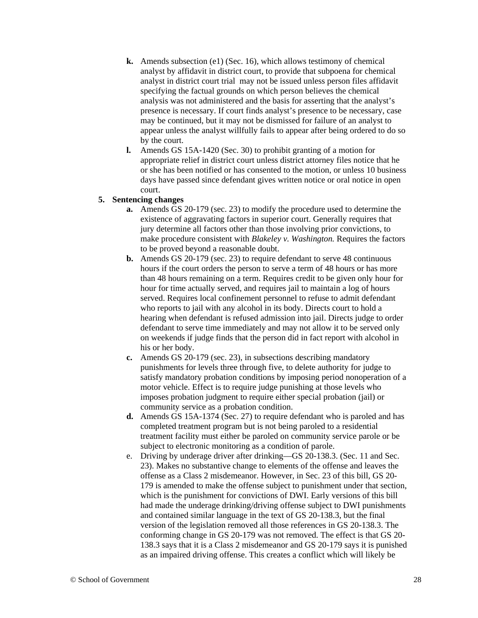- **k.** Amends subsection (e1) (Sec. 16), which allows testimony of chemical analyst by affidavit in district court, to provide that subpoena for chemical analyst in district court trial may not be issued unless person files affidavit specifying the factual grounds on which person believes the chemical analysis was not administered and the basis for asserting that the analyst's presence is necessary. If court finds analyst's presence to be necessary, case may be continued, but it may not be dismissed for failure of an analyst to appear unless the analyst willfully fails to appear after being ordered to do so by the court.
- **l.** Amends GS 15A-1420 (Sec. 30) to prohibit granting of a motion for appropriate relief in district court unless district attorney files notice that he or she has been notified or has consented to the motion, or unless 10 business days have passed since defendant gives written notice or oral notice in open court.

#### **5. Sentencing changes**

- **a.** Amends GS 20-179 (sec. 23) to modify the procedure used to determine the existence of aggravating factors in superior court. Generally requires that jury determine all factors other than those involving prior convictions, to make procedure consistent with *Blakeley v. Washington.* Requires the factors to be proved beyond a reasonable doubt.
- **b.** Amends GS 20-179 (sec. 23) to require defendant to serve 48 continuous hours if the court orders the person to serve a term of 48 hours or has more than 48 hours remaining on a term. Requires credit to be given only hour for hour for time actually served, and requires jail to maintain a log of hours served. Requires local confinement personnel to refuse to admit defendant who reports to jail with any alcohol in its body. Directs court to hold a hearing when defendant is refused admission into jail. Directs judge to order defendant to serve time immediately and may not allow it to be served only on weekends if judge finds that the person did in fact report with alcohol in his or her body.
- **c.** Amends GS 20-179 (sec. 23), in subsections describing mandatory punishments for levels three through five, to delete authority for judge to satisfy mandatory probation conditions by imposing period nonoperation of a motor vehicle. Effect is to require judge punishing at those levels who imposes probation judgment to require either special probation (jail) or community service as a probation condition.
- **d.** Amends GS 15A-1374 (Sec. 27) to require defendant who is paroled and has completed treatment program but is not being paroled to a residential treatment facility must either be paroled on community service parole or be subject to electronic monitoring as a condition of parole.
- e. Driving by underage driver after drinking—GS 20-138.3. (Sec. 11 and Sec. 23). Makes no substantive change to elements of the offense and leaves the offense as a Class 2 misdemeanor. However, in Sec. 23 of this bill, GS 20- 179 is amended to make the offense subject to punishment under that section, which is the punishment for convictions of DWI. Early versions of this bill had made the underage drinking/driving offense subject to DWI punishments and contained similar language in the text of GS 20-138.3, but the final version of the legislation removed all those references in GS 20-138.3. The conforming change in GS 20-179 was not removed. The effect is that GS 20- 138.3 says that it is a Class 2 misdemeanor and GS 20-179 says it is punished as an impaired driving offense. This creates a conflict which will likely be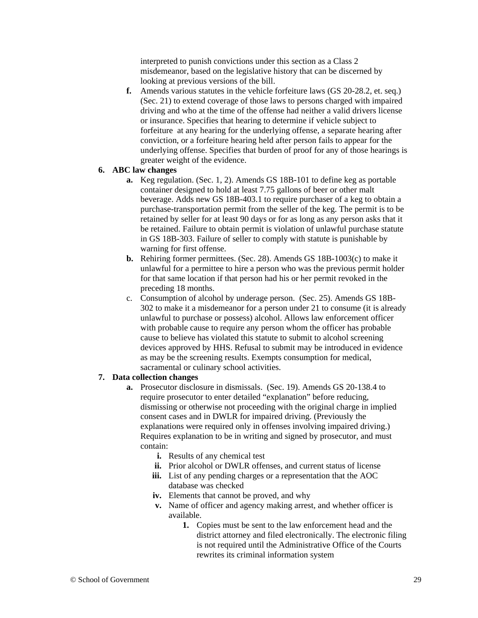interpreted to punish convictions under this section as a Class 2 misdemeanor, based on the legislative history that can be discerned by looking at previous versions of the bill.

**f.** Amends various statutes in the vehicle forfeiture laws (GS 20-28.2, et. seq.) (Sec. 21) to extend coverage of those laws to persons charged with impaired driving and who at the time of the offense had neither a valid drivers license or insurance. Specifies that hearing to determine if vehicle subject to forfeiture at any hearing for the underlying offense, a separate hearing after conviction, or a forfeiture hearing held after person fails to appear for the underlying offense. Specifies that burden of proof for any of those hearings is greater weight of the evidence.

#### **6. ABC law changes**

- **a.** Keg regulation. (Sec. 1, 2). Amends GS 18B-101 to define keg as portable container designed to hold at least 7.75 gallons of beer or other malt beverage. Adds new GS 18B-403.1 to require purchaser of a keg to obtain a purchase-transportation permit from the seller of the keg. The permit is to be retained by seller for at least 90 days or for as long as any person asks that it be retained. Failure to obtain permit is violation of unlawful purchase statute in GS 18B-303. Failure of seller to comply with statute is punishable by warning for first offense.
- **b.** Rehiring former permittees. (Sec. 28). Amends GS 18B-1003(c) to make it unlawful for a permittee to hire a person who was the previous permit holder for that same location if that person had his or her permit revoked in the preceding 18 months.
- c. Consumption of alcohol by underage person. (Sec. 25). Amends GS 18B-302 to make it a misdemeanor for a person under 21 to consume (it is already unlawful to purchase or possess) alcohol. Allows law enforcement officer with probable cause to require any person whom the officer has probable cause to believe has violated this statute to submit to alcohol screening devices approved by HHS. Refusal to submit may be introduced in evidence as may be the screening results. Exempts consumption for medical, sacramental or culinary school activities.

#### **7. Data collection changes**

- **a.** Prosecutor disclosure in dismissals. (Sec. 19). Amends GS 20-138.4 to require prosecutor to enter detailed "explanation" before reducing, dismissing or otherwise not proceeding with the original charge in implied consent cases and in DWLR for impaired driving. (Previously the explanations were required only in offenses involving impaired driving.) Requires explanation to be in writing and signed by prosecutor, and must contain:
	- **i.** Results of any chemical test
	- **ii.** Prior alcohol or DWLR offenses, and current status of license
	- iii. List of any pending charges or a representation that the AOC database was checked
	- **iv.** Elements that cannot be proved, and why
	- **v.** Name of officer and agency making arrest, and whether officer is available.
		- **1.** Copies must be sent to the law enforcement head and the district attorney and filed electronically. The electronic filing is not required until the Administrative Office of the Courts rewrites its criminal information system